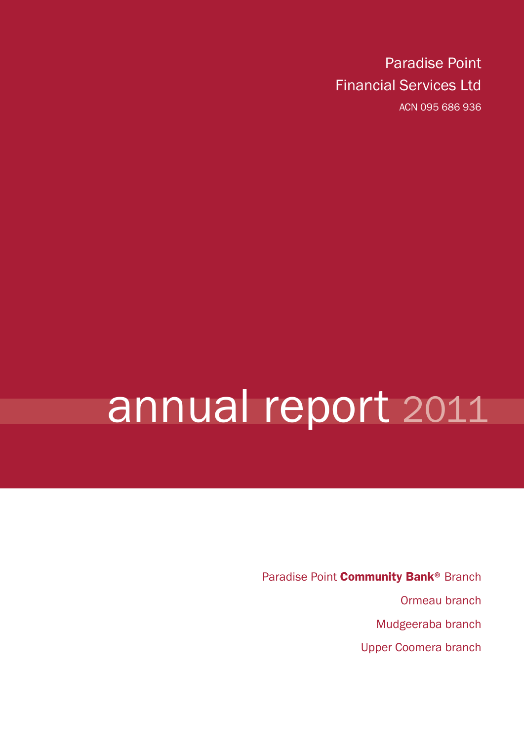Paradise Point Financial Services Ltd ACN 095 686 936

# annual report 2011

Paradise Point Community Bank<sup>®</sup> Branch

Ormeau branch

Mudgeeraba branch

Upper Coomera branch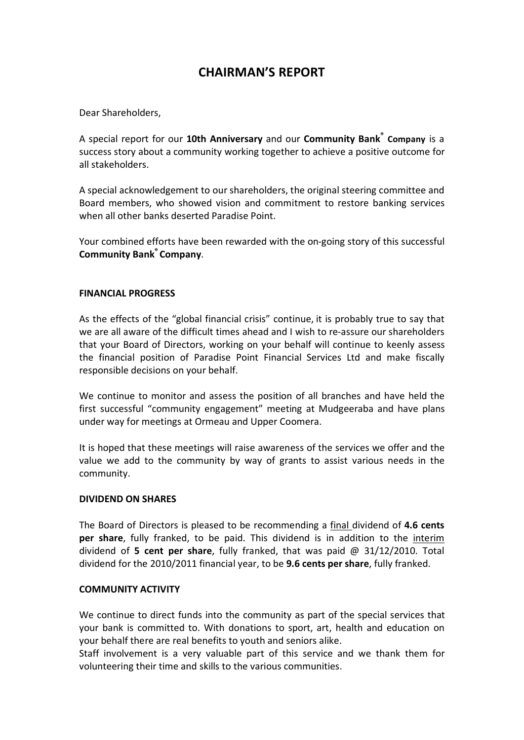# **CHAIRMAN'S REPORT**

Dear Shareholders.

A special report for our 10th Anniversary and our Community Bank® Company is a success story about a community working together to achieve a positive outcome for all stakeholders.

A special acknowledgement to our shareholders, the original steering committee and Board members, who showed vision and commitment to restore banking services when all other banks deserted Paradise Point.

Your combined efforts have been rewarded with the on-going story of this successful **Community Bank Company.** 

## **FINANCIAL PROGRESS**

As the effects of the "global financial crisis" continue, it is probably true to say that we are all aware of the difficult times ahead and I wish to re-assure our shareholders that your Board of Directors, working on your behalf will continue to keenly assess the financial position of Paradise Point Financial Services Ltd and make fiscally responsible decisions on your behalf.

We continue to monitor and assess the position of all branches and have held the first successful "community engagement" meeting at Mudgeeraba and have plans under way for meetings at Ormeau and Upper Coomera.

It is hoped that these meetings will raise awareness of the services we offer and the value we add to the community by way of grants to assist various needs in the community.

## **DIVIDEND ON SHARES**

The Board of Directors is pleased to be recommending a final dividend of 4.6 cents per share, fully franked, to be paid. This dividend is in addition to the interim dividend of 5 cent per share, fully franked, that was paid  $\omega$  31/12/2010. Total dividend for the 2010/2011 financial year, to be 9.6 cents per share, fully franked.

## **COMMUNITY ACTIVITY**

We continue to direct funds into the community as part of the special services that your bank is committed to. With donations to sport, art, health and education on your behalf there are real benefits to youth and seniors alike.

Staff involvement is a very valuable part of this service and we thank them for volunteering their time and skills to the various communities.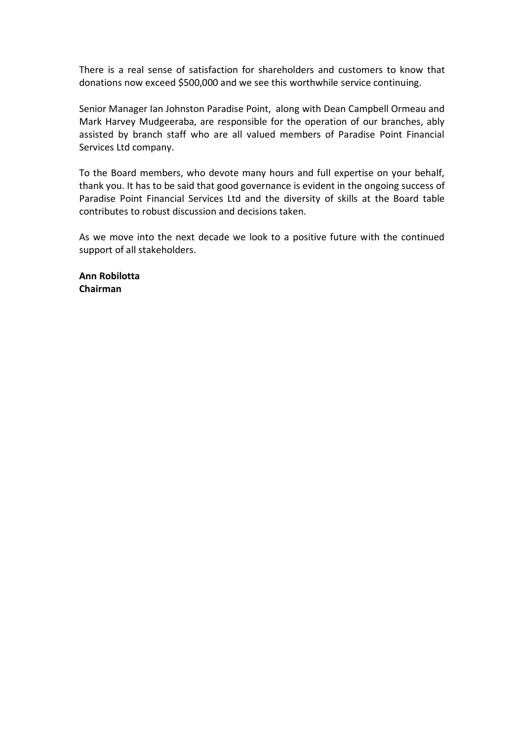There is a real sense of satisfaction for shareholders and customers to know that donations now exceed \$500,000 and we see this worthwhile service continuing.

Senior Manager Ian Johnston Paradise Point, along with Dean Campbell Ormeau and Mark Harvey Mudgeeraba, are responsible for the operation of our branches, ably assisted by branch staff who are all valued members of Paradise Point Financial Services Ltd company.

To the Board members, who devote many hours and full expertise on your behalf, thank you. It has to be said that good governance is evident in the ongoing success of Paradise Point Financial Services Ltd and the diversity of skills at the Board table contributes to robust discussion and decisions taken.

As we move into the next decade we look to a positive future with the continued support of all stakeholders.

**Ann Robilotta** Chairman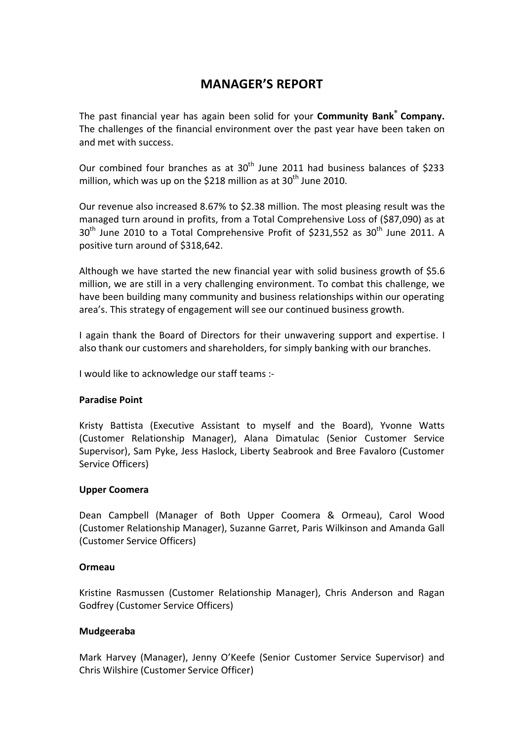# **MANAGER'S REPORT**

The past financial year has again been solid for your Community Bank Company. The challenges of the financial environment over the past year have been taken on and met with success.

Our combined four branches as at 30<sup>th</sup> June 2011 had business balances of \$233 million, which was up on the \$218 million as at 30<sup>th</sup> June 2010.

Our revenue also increased 8.67% to \$2.38 million. The most pleasing result was the managed turn around in profits, from a Total Comprehensive Loss of (\$87,090) as at  $30<sup>th</sup>$  June 2010 to a Total Comprehensive Profit of \$231,552 as 30<sup>th</sup> June 2011. A positive turn around of \$318,642.

Although we have started the new financial year with solid business growth of \$5.6 million, we are still in a very challenging environment. To combat this challenge, we have been building many community and business relationships within our operating area's. This strategy of engagement will see our continued business growth.

I again thank the Board of Directors for their unwavering support and expertise. I also thank our customers and shareholders, for simply banking with our branches.

I would like to acknowledge our staff teams :-

## **Paradise Point**

Kristy Battista (Executive Assistant to myself and the Board), Yvonne Watts (Customer Relationship Manager). Alana Dimatulac (Senior Customer Service Supervisor), Sam Pyke, Jess Haslock, Liberty Seabrook and Bree Favaloro (Customer Service Officers)

## **Upper Coomera**

Dean Campbell (Manager of Both Upper Coomera & Ormeau), Carol Wood (Customer Relationship Manager), Suzanne Garret, Paris Wilkinson and Amanda Gall (Customer Service Officers)

## Ormeau

Kristine Rasmussen (Customer Relationship Manager), Chris Anderson and Ragan **Godfrey (Customer Service Officers)** 

## Mudgeeraba

Mark Harvey (Manager), Jenny O'Keefe (Senior Customer Service Supervisor) and Chris Wilshire (Customer Service Officer)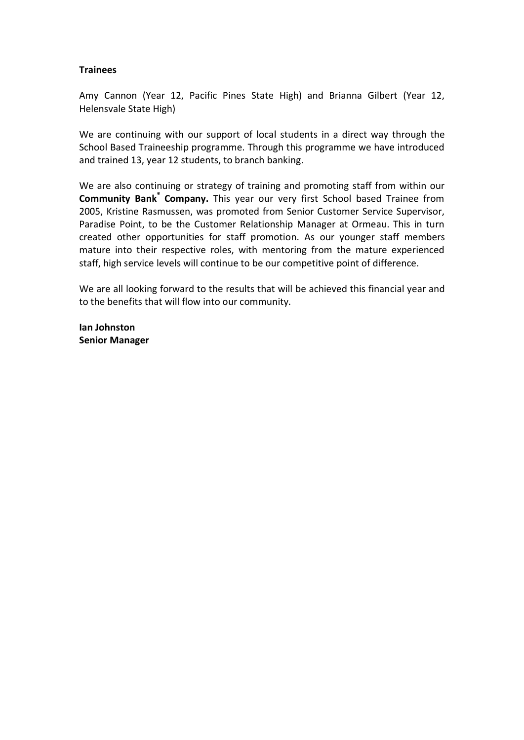## **Trainees**

Amy Cannon (Year 12, Pacific Pines State High) and Brianna Gilbert (Year 12, Helensvale State High)

We are continuing with our support of local students in a direct way through the School Based Traineeship programme. Through this programme we have introduced and trained 13, year 12 students, to branch banking.

We are also continuing or strategy of training and promoting staff from within our **Community Bank<sup>®</sup> Company.** This year our very first School based Trainee from 2005, Kristine Rasmussen, was promoted from Senior Customer Service Supervisor, Paradise Point, to be the Customer Relationship Manager at Ormeau. This in turn created other opportunities for staff promotion. As our younger staff members mature into their respective roles, with mentoring from the mature experienced staff, high service levels will continue to be our competitive point of difference.

We are all looking forward to the results that will be achieved this financial year and to the benefits that will flow into our community.

lan Johnston **Senior Manager**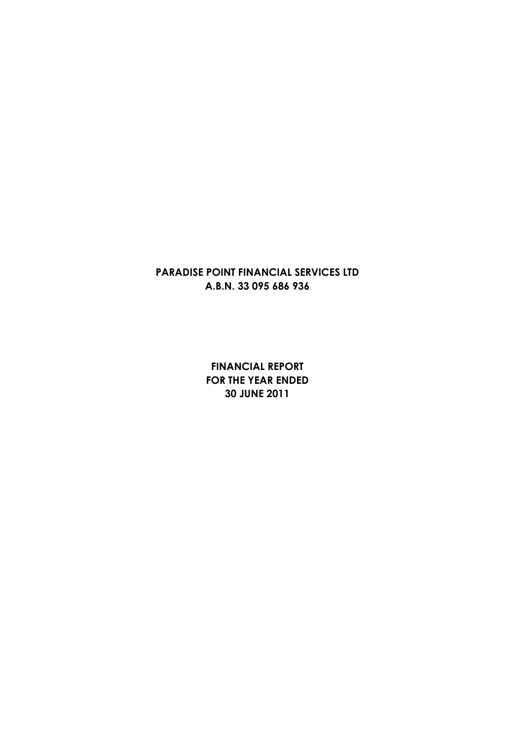**FINANCIAL REPORT FOR THE YEAR ENDED 30 JUNE 2011**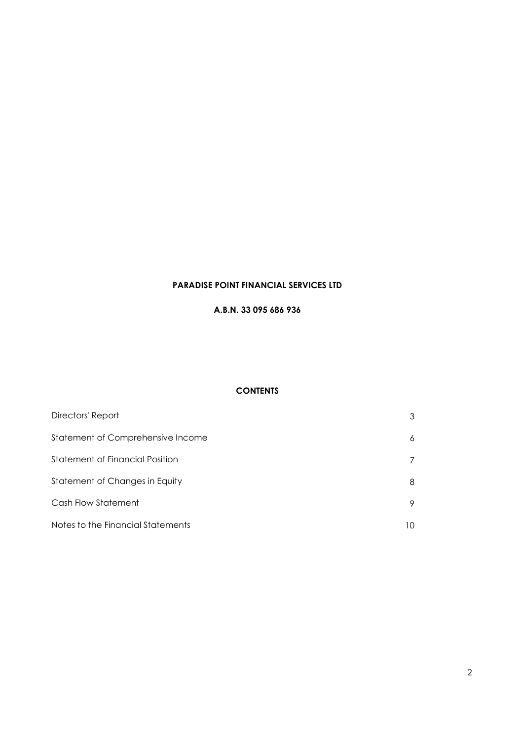## **PARADISE POINT FINANCIAL SERVICES LTD**

## **A.B.N. 33 095 686 936**

## **CONTENTS**

| Directors' Report                 | 3  |
|-----------------------------------|----|
| Statement of Comprehensive Income | 6  |
| Statement of Financial Position   | 7  |
| Statement of Changes in Equity    | 8  |
| Cash Flow Statement               | 9  |
| Notes to the Financial Statements | 10 |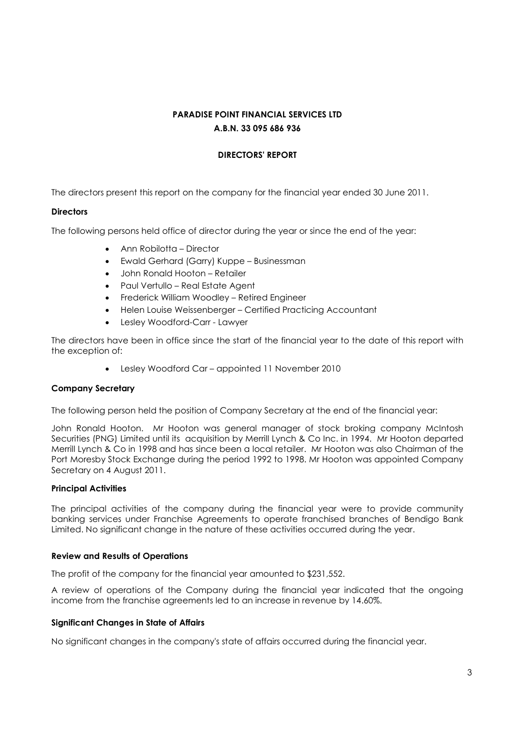## **DIRECTORS' REPORT**

The directors present this report on the company for the financial year ended 30 June 2011.

## **Directors**

The following persons held office of director during the year or since the end of the year:

- Ann Robilotta Director
- Ewald Gerhard (Garry) Kuppe Businessman
- John Ronald Hooton Retailer
- Paul Vertullo Real Estate Agent
- Frederick William Woodley Retired Engineer
- Helen Louise Weissenberger Certified Practicing Accountant
- Lesley Woodford-Carr Lawyer

The directors have been in office since the start of the financial year to the date of this report with the exception of:

• Lesley Woodford Car – appointed 11 November 2010

## **Company Secretary**

The following person held the position of Company Secretary at the end of the financial year:

John Ronald Hooton. Mr Hooton was general manager of stock broking company McIntosh Securities (PNG) Limited until its acquisition by Merrill Lynch & Co Inc. in 1994. Mr Hooton departed Merrill Lynch & Co in 1998 and has since been a local retailer. Mr Hooton was also Chairman of the Port Moresby Stock Exchange during the period 1992 to 1998. Mr Hooton was appointed Company Secretary on 4 August 2011.

## **Principal Activities**

The principal activities of the company during the financial year were to provide community banking services under Franchise Agreements to operate franchised branches of Bendigo Bank Limited. No significant change in the nature of these activities occurred during the year.

## **Review and Results of Operations**

The profit of the company for the financial year amounted to \$231,552.

A review of operations of the Company during the financial year indicated that the ongoing income from the franchise agreements led to an increase in revenue by 14.60%.

## **Significant Changes in State of Affairs**

No significant changes in the company's state of affairs occurred during the financial year.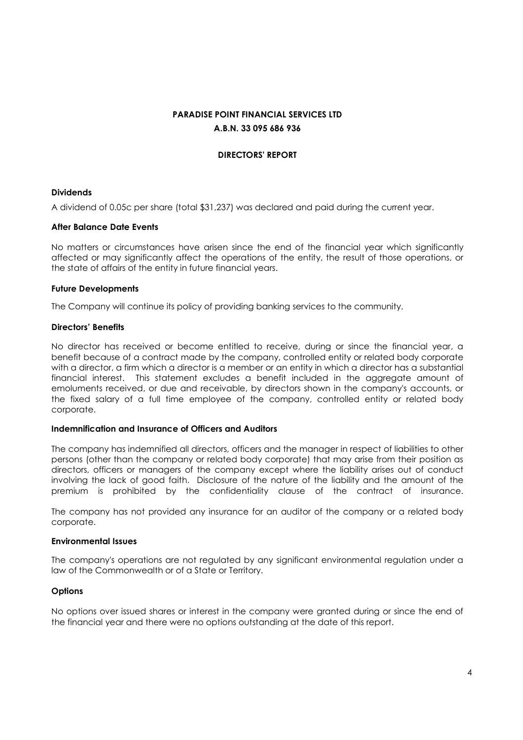## **DIRECTORS' REPORT**

#### **Dividends**

A dividend of 0.05c per share (total \$31,237) was declared and paid during the current year.

## **After Balance Date Events**

No matters or circumstances have arisen since the end of the financial year which significantly affected or may significantly affect the operations of the entity, the result of those operations, or the state of affairs of the entity in future financial years.

## **Future Developments**

The Company will continue its policy of providing banking services to the community.

## **Directors' Benefits**

No director has received or become entitled to receive, during or since the financial year, a benefit because of a contract made by the company, controlled entity or related body corporate with a director, a firm which a director is a member or an entity in which a director has a substantial financial interest. This statement excludes a benefit included in the aggregate amount of emoluments received, or due and receivable, by directors shown in the company's accounts, or the fixed salary of a full time employee of the company, controlled entity or related body corporate.

## **Indemnification and Insurance of Officers and Auditors**

The company has indemnified all directors, officers and the manager in respect of liabilities to other persons (other than the company or related body corporate) that may arise from their position as directors, officers or managers of the company except where the liability arises out of conduct involving the lack of good faith. Disclosure of the nature of the liability and the amount of the premium is prohibited by the confidentiality clause of the contract of insurance.

The company has not provided any insurance for an auditor of the company or a related body corporate.

#### **Environmental Issues**

The company's operations are not regulated by any significant environmental regulation under a law of the Commonwealth or of a State or Territory.

#### **Options**

No options over issued shares or interest in the company were granted during or since the end of the financial year and there were no options outstanding at the date of this report.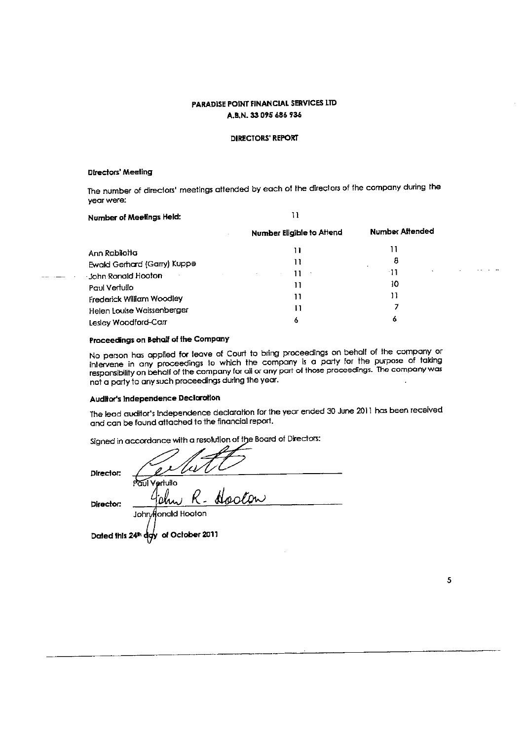#### **DIRECTORS' REPORT**

#### Directors' Meeting

The number of directors' meetings attended by each of the directors of the company during the vear were:

#### Number of Meetings Held:

|                                    | Number Eligible to Attend      | <b>Number Attended</b> |  |
|------------------------------------|--------------------------------|------------------------|--|
| Ann Robilotta                      |                                | 11                     |  |
| <b>Ewald Gerhard (Garry) Kuppe</b> | 11                             | 8                      |  |
| John Ronald Hooton                 | 11<br>$\sim 10^{11}$ m $^{-1}$ | -11                    |  |
| Paul Vertullo                      | 11                             | 10                     |  |
| Frederick William Woodley          | וו                             | 11                     |  |
| Helen Louise Weissenberger         | Н                              |                        |  |
| Lesley Woodford-Carr               | 6                              | ۵                      |  |

 $\mathbf{1}$ 

# Proceedings on Behalf of the Company

No person has applied for leave of Court to bring proceedings on behalf of the company or intervene in any proceedings to which the company is a party for the purpose of taking responsibility on behalf of the company for all or any part of those proceedings. The company was not a party to any such proceedings during the year.

## Auditor's Independence Declaration

The lead auditor's independence declaration for the year ended 30 June 2011 has been received and can be found attached to the financial report.

Signed in accordance with a resolution of the Board of Directors:

Director:

Vertullo

Director:

of October 2011 Dated this 24th

John

onald Hooton

5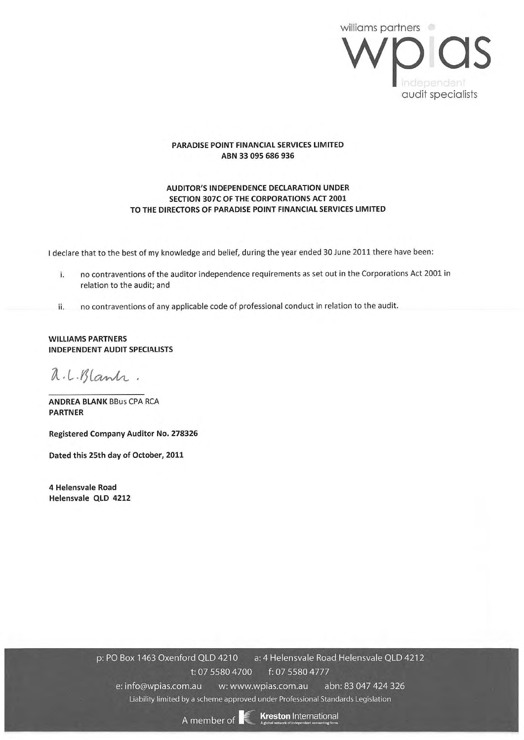

## **AUDITOR'S INDEPENDENCE DECLARATION UNDER** SECTION 307C OF THE CORPORATIONS ACT 2001 TO THE DIRECTORS OF PARADISE POINT FINANCIAL SERVICES LIMITED

I declare that to the best of my knowledge and belief, during the year ended 30 June 2011 there have been:

- no contraventions of the auditor independence requirements as set out in the Corporations Act 2001 in i. relation to the audit; and
- ii. no contraventions of any applicable code of professional conduct in relation to the audit.

## **WILLIAMS PARTNERS INDEPENDENT AUDIT SPECIALISTS**

a.L.Blank.

**ANDREA BLANK BBus CPA RCA PARTNER** 

Registered Company Auditor No. 278326

Dated this 25th day of October, 2011

4 Helensvale Road Helensvale QLD 4212

> p: PO Box 1463 Oxenford QLD 4210 a: 4 Helensvale Road Helensvale QLD 4212 t: 07 5580 4700 f: 07 5580 4777 e: info@wpias.com.au w: www.wpias.com.au abn: 83 047 424 326

Liability limited by a scheme approved under Professional Standards Legislation

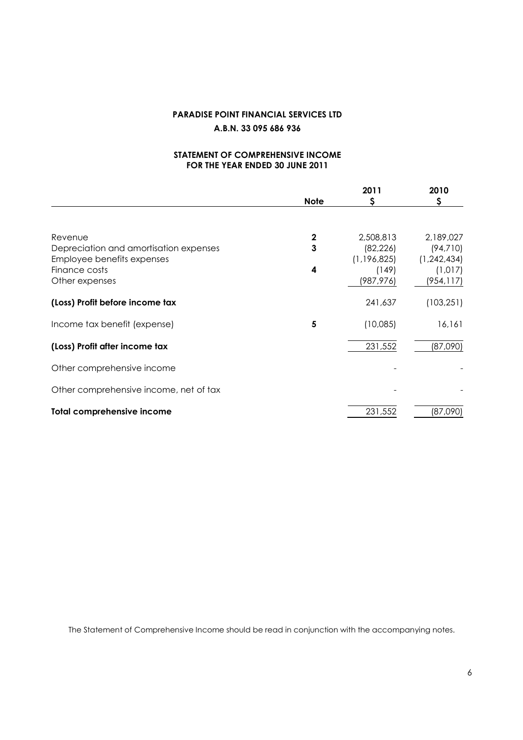## **STATEMENT OF COMPREHENSIVE INCOME FOR THE YEAR ENDED 30 JUNE 2011**

|                                        |             | 2011          | 2010          |
|----------------------------------------|-------------|---------------|---------------|
|                                        | <b>Note</b> | S             | \$            |
|                                        |             |               |               |
| Revenue                                | $\mathbf 2$ | 2,508,813     | 2,189,027     |
| Depreciation and amortisation expenses | 3           | (82, 226)     | (94, 710)     |
| Employee benefits expenses             |             | (1, 196, 825) | (1, 242, 434) |
| Finance costs                          | 4           | (149)         | (1,017)       |
| Other expenses                         |             | (987,976)     | (954, 117)    |
| (Loss) Profit before income tax        |             | 241,637       | (103, 251)    |
| Income tax benefit (expense)           | 5           | (10,085)      | 16,161        |
| (Loss) Profit after income tax         |             | 231,552       | (87,090)      |
| Other comprehensive income             |             |               |               |
| Other comprehensive income, net of tax |             |               |               |
| <b>Total comprehensive income</b>      |             | 231,552       | (87,090)      |

The Statement of Comprehensive Income should be read in conjunction with the accompanying notes.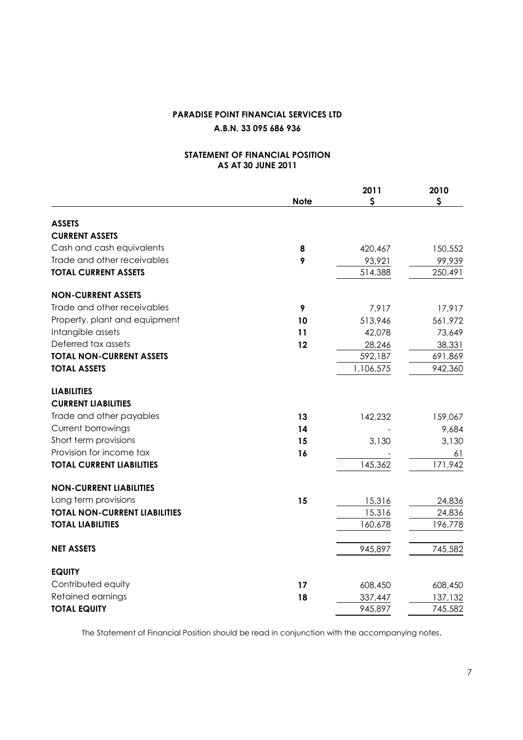## **STATEMENT OF FINANCIAL POSITION AS AT 30 JUNE 2011**

|                                      | <b>Note</b> | 2011<br>\$ | 2010<br>\$ |
|--------------------------------------|-------------|------------|------------|
|                                      |             |            |            |
| <b>ASSETS</b>                        |             |            |            |
| <b>CURRENT ASSETS</b>                |             |            |            |
| Cash and cash equivalents            | 8           | 420,467    | 150,552    |
| Trade and other receivables          | 9           | 93,921     | 99,939     |
| <b>TOTAL CURRENT ASSETS</b>          |             | 514,388    | 250,491    |
| <b>NON-CURRENT ASSETS</b>            |             |            |            |
| Trade and other receivables          | 9           | 7,917      | 17,917     |
| Property, plant and equipment        | 10          | 513,946    | 561,972    |
| Intangible assets                    | 11          | 42,078     | 73,649     |
| Deferred tax assets                  | 12          | 28,246     | 38,331     |
| <b>TOTAL NON-CURRENT ASSETS</b>      |             | 592,187    | 691,869    |
| <b>TOTAL ASSETS</b>                  |             | 1,106,575  | 942,360    |
| <b>LIABILITIES</b>                   |             |            |            |
| <b>CURRENT LIABILITIES</b>           |             |            |            |
| Trade and other payables             | 13          | 142,232    | 159,067    |
| Current borrowings                   | 14          |            | 9,684      |
| Short term provisions                | 15          | 3,130      | 3,130      |
| Provision for income tax             | 16          |            | 61         |
| <b>TOTAL CURRENT LIABILITIES</b>     |             | 145,362    | 171,942    |
| <b>NON-CURRENT LIABILITIES</b>       |             |            |            |
| Long term provisions                 | 15          | 15,316     | 24,836     |
| <b>TOTAL NON-CURRENT LIABILITIES</b> |             | 15,316     | 24,836     |
| <b>TOTAL LIABILITIES</b>             |             | 160,678    | 196,778    |
| <b>NET ASSETS</b>                    |             | 945,897    | 745,582    |
| <b>EQUITY</b>                        |             |            |            |
| Contributed equity                   | 17          | 608,450    | 608,450    |
| Retained earnings                    | 18          | 337,447    | 137,132    |
| <b>TOTAL EQUITY</b>                  |             | 945,897    | 745,582    |

The Statement of Financial Position should be read in conjunction with the accompanying notes.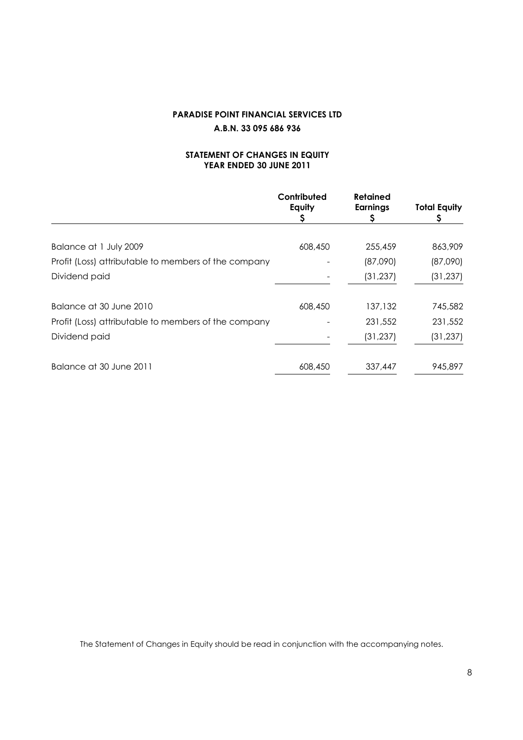## **STATEMENT OF CHANGES IN EQUITY YEAR ENDED 30 JUNE 2011**

|                                                      | Contributed<br>Equity | <b>Retained</b><br><b>Earnings</b> | <b>Total Equity</b> |
|------------------------------------------------------|-----------------------|------------------------------------|---------------------|
| Balance at 1 July 2009                               | 608,450               | 255,459                            | 863,909             |
| Profit (Loss) attributable to members of the company |                       | (87,090)                           | (87,090)            |
| Dividend paid                                        |                       | (31, 237)                          | (31, 237)           |
| Balance at 30 June 2010                              | 608,450               | 137,132                            | 745,582             |
| Profit (Loss) attributable to members of the company |                       | 231,552                            | 231,552             |
| Dividend paid                                        |                       | (31, 237)                          | (31, 237)           |
| Balance at 30 June 2011                              | 608,450               | 337,447                            | 945,897             |

The Statement of Changes in Equity should be read in conjunction with the accompanying notes.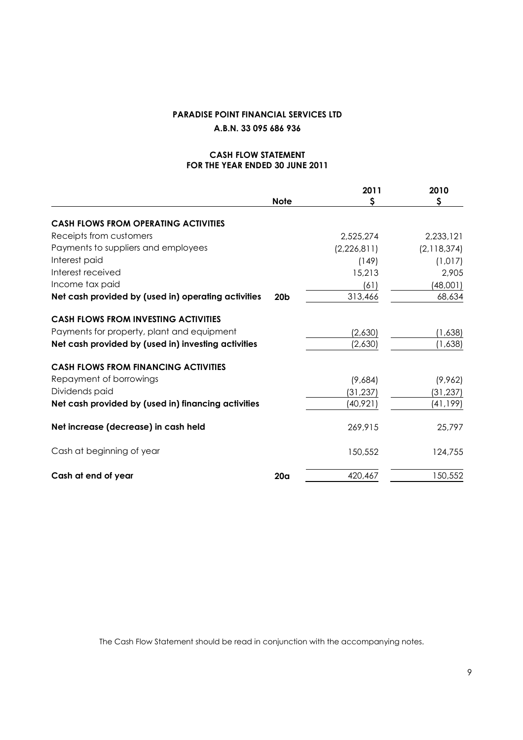## **CASH FLOW STATEMENT FOR THE YEAR ENDED 30 JUNE 2011**

|                                                     | <b>Note</b>     | 2011<br>\$  | 2010<br>\$  |
|-----------------------------------------------------|-----------------|-------------|-------------|
| <b>CASH FLOWS FROM OPERATING ACTIVITIES</b>         |                 |             |             |
| Receipts from customers                             |                 | 2,525,274   | 2,233,121   |
| Payments to suppliers and employees                 |                 | (2,226,811) | (2,118,374) |
| Interest paid                                       |                 | (149)       | (1, 017)    |
| Interest received                                   |                 | 15,213      | 2,905       |
| Income tax paid                                     |                 | (61)        | (48,001)    |
| Net cash provided by (used in) operating activities | 20 <sub>b</sub> | 313,466     | 68,634      |
| <b>CASH FLOWS FROM INVESTING ACTIVITIES</b>         |                 |             |             |
| Payments for property, plant and equipment          |                 | (2,630)     | (1,638)     |
| Net cash provided by (used in) investing activities |                 | (2,630)     | (1,638)     |
| <b>CASH FLOWS FROM FINANCING ACTIVITIES</b>         |                 |             |             |
| Repayment of borrowings                             |                 | (9,684)     | (9,962)     |
| Dividends paid                                      |                 | (31, 237)   | (31, 237)   |
| Net cash provided by (used in) financing activities |                 | (40,921)    | (41,199)    |
| Net increase (decrease) in cash held                |                 | 269,915     | 25,797      |
| Cash at beginning of year                           |                 | 150,552     | 124,755     |
| Cash at end of year                                 | 20 <sub>a</sub> | 420,467     | 150,552     |

The Cash Flow Statement should be read in conjunction with the accompanying notes.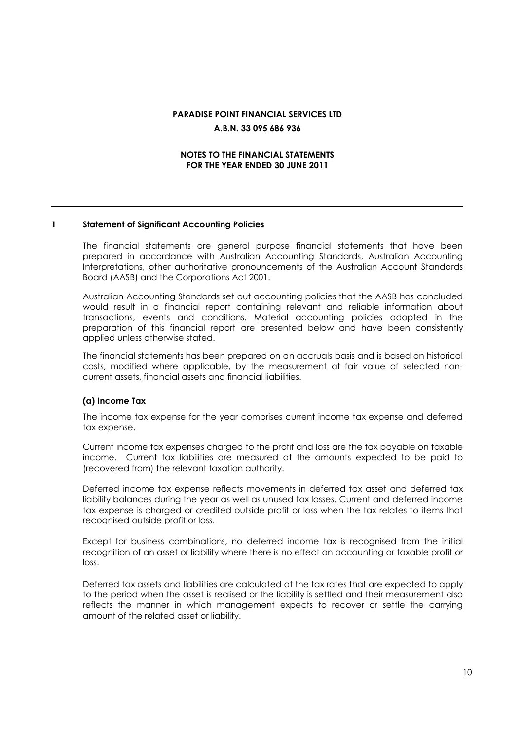## **NOTES TO THE FINANCIAL STATEMENTS FOR THE YEAR ENDED 30 JUNE 2011**

#### **1 Statement of Significant Accounting Policies**

The financial statements are general purpose financial statements that have been prepared in accordance with Australian Accounting Standards, Australian Accounting Interpretations, other authoritative pronouncements of the Australian Account Standards Board (AASB) and the Corporations Act 2001.

Australian Accounting Standards set out accounting policies that the AASB has concluded would result in a financial report containing relevant and reliable information about transactions, events and conditions. Material accounting policies adopted in the preparation of this financial report are presented below and have been consistently applied unless otherwise stated.

The financial statements has been prepared on an accruals basis and is based on historical costs, modified where applicable, by the measurement at fair value of selected noncurrent assets, financial assets and financial liabilities.

#### **(a) Income Tax**

The income tax expense for the year comprises current income tax expense and deferred tax expense.

Current income tax expenses charged to the profit and loss are the tax payable on taxable income. Current tax liabilities are measured at the amounts expected to be paid to (recovered from) the relevant taxation authority.

Deferred income tax expense reflects movements in deferred tax asset and deferred tax liability balances during the year as well as unused tax losses. Current and deferred income tax expense is charged or credited outside profit or loss when the tax relates to items that recognised outside profit or loss.

Except for business combinations, no deferred income tax is recognised from the initial recognition of an asset or liability where there is no effect on accounting or taxable profit or loss.

Deferred tax assets and liabilities are calculated at the tax rates that are expected to apply to the period when the asset is realised or the liability is settled and their measurement also reflects the manner in which management expects to recover or settle the carrying amount of the related asset or liability.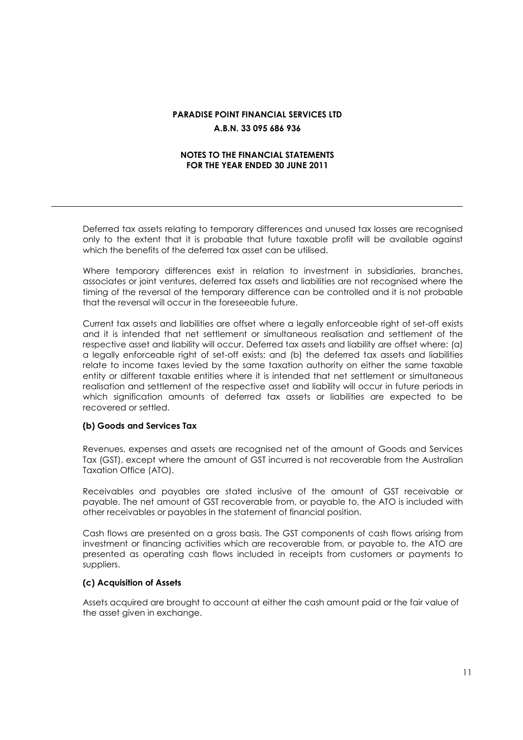## **NOTES TO THE FINANCIAL STATEMENTS FOR THE YEAR ENDED 30 JUNE 2011**

Deferred tax assets relating to temporary differences and unused tax losses are recognised only to the extent that it is probable that future taxable profit will be available against which the benefits of the deferred tax asset can be utilised.

Where temporary differences exist in relation to investment in subsidiaries, branches, associates or joint ventures, deferred tax assets and liabilities are not recognised where the timing of the reversal of the temporary difference can be controlled and it is not probable that the reversal will occur in the foreseeable future.

Current tax assets and liabilities are offset where a legally enforceable right of set-off exists and it is intended that net settlement or simultaneous realisation and settlement of the respective asset and liability will occur. Deferred tax assets and liability are offset where: (a) a legally enforceable right of set-off exists; and (b) the deferred tax assets and liabilities relate to income taxes levied by the same taxation authority on either the same taxable entity or different taxable entities where it is intended that net settlement or simultaneous realisation and settlement of the respective asset and liability will occur in future periods in which signification amounts of deferred tax assets or liabilities are expected to be recovered or settled.

## **(b) Goods and Services Tax**

Revenues, expenses and assets are recognised net of the amount of Goods and Services Tax (GST), except where the amount of GST incurred is not recoverable from the Australian Taxation Office (ATO).

Receivables and payables are stated inclusive of the amount of GST receivable or payable. The net amount of GST recoverable from, or payable to, the ATO is included with other receivables or payables in the statement of financial position.

Cash flows are presented on a gross basis. The GST components of cash flows arising from investment or financing activities which are recoverable from, or payable to, the ATO are presented as operating cash flows included in receipts from customers or payments to suppliers.

#### **(c) Acquisition of Assets**

Assets acquired are brought to account at either the cash amount paid or the fair value of the asset given in exchange.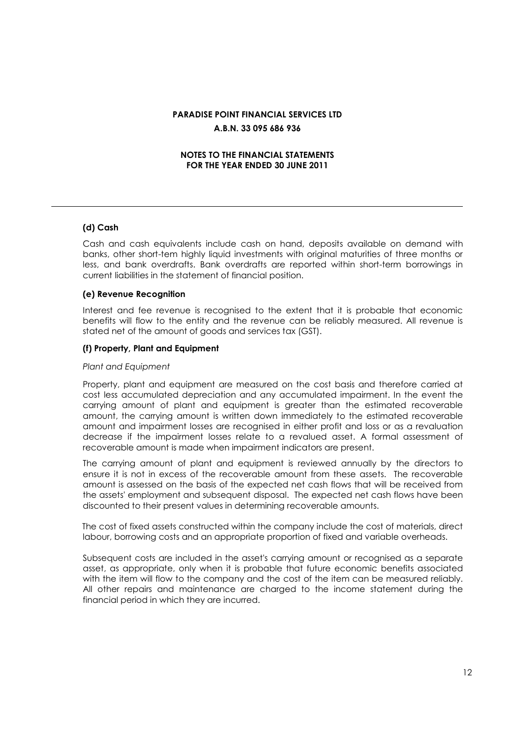## **NOTES TO THE FINANCIAL STATEMENTS FOR THE YEAR ENDED 30 JUNE 2011**

## **(d) Cash**

Cash and cash equivalents include cash on hand, deposits available on demand with banks, other short-tem highly liquid investments with original maturities of three months or less, and bank overdrafts. Bank overdrafts are reported within short-term borrowings in current liabilities in the statement of financial position.

## **(e) Revenue Recognition**

Interest and fee revenue is recognised to the extent that it is probable that economic benefits will flow to the entity and the revenue can be reliably measured. All revenue is stated net of the amount of goods and services tax (GST).

## **(f) Property, Plant and Equipment**

## *Plant and Equipment*

Property, plant and equipment are measured on the cost basis and therefore carried at cost less accumulated depreciation and any accumulated impairment. In the event the carrying amount of plant and equipment is greater than the estimated recoverable amount, the carrying amount is written down immediately to the estimated recoverable amount and impairment losses are recognised in either profit and loss or as a revaluation decrease if the impairment losses relate to a revalued asset. A formal assessment of recoverable amount is made when impairment indicators are present.

The carrying amount of plant and equipment is reviewed annually by the directors to ensure it is not in excess of the recoverable amount from these assets. The recoverable amount is assessed on the basis of the expected net cash flows that will be received from the assets' employment and subsequent disposal. The expected net cash flows have been discounted to their present values in determining recoverable amounts.

The cost of fixed assets constructed within the company include the cost of materials, direct labour, borrowing costs and an appropriate proportion of fixed and variable overheads.

Subsequent costs are included in the asset's carrying amount or recognised as a separate asset, as appropriate, only when it is probable that future economic benefits associated with the item will flow to the company and the cost of the item can be measured reliably. All other repairs and maintenance are charged to the income statement during the financial period in which they are incurred.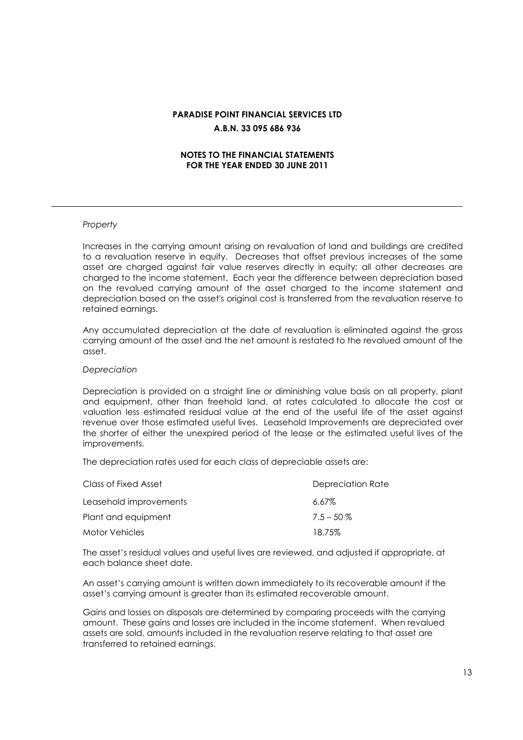## **NOTES TO THE FINANCIAL STATEMENTS FOR THE YEAR ENDED 30 JUNE 2011**

## *Property*

Increases in the carrying amount arising on revaluation of land and buildings are credited to a revaluation reserve in equity. Decreases that offset previous increases of the same asset are charged against fair value reserves directly in equity; all other decreases are charged to the income statement. Each year the difference between depreciation based on the revalued carrying amount of the asset charged to the income statement and depreciation based on the asset's original cost is transferred from the revaluation reserve to retained earnings.

Any accumulated depreciation at the date of revaluation is eliminated against the gross carrying amount of the asset and the net amount is restated to the revalued amount of the asset.

#### *Depreciation*

Depreciation is provided on a straight line or diminishing value basis on all property, plant and equipment, other than freehold land, at rates calculated to allocate the cost or valuation less estimated residual value at the end of the useful life of the asset against revenue over those estimated useful lives. Leasehold Improvements are depreciated over the shorter of either the unexpired period of the lease or the estimated useful lives of the improvements.

The depreciation rates used for each class of depreciable assets are:

| Class of Fixed Asset   | Depreciation Rate |
|------------------------|-------------------|
| Leasehold improvements | $6.67\%$          |
| Plant and equipment    | $7.5 - 50\%$      |
| <b>Motor Vehicles</b>  | 18.75%            |

The asset's residual values and useful lives are reviewed, and adjusted if appropriate, at each balance sheet date.

An asset's carrying amount is written down immediately to its recoverable amount if the asset's carrying amount is greater than its estimated recoverable amount.

Gains and losses on disposals are determined by comparing proceeds with the carrying amount. These gains and losses are included in the income statement. When revalued assets are sold, amounts included in the revaluation reserve relating to that asset are transferred to retained earnings.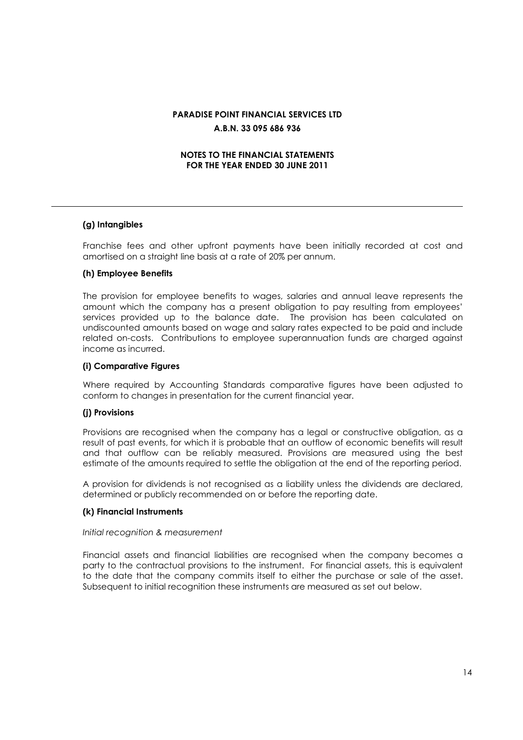## **NOTES TO THE FINANCIAL STATEMENTS FOR THE YEAR ENDED 30 JUNE 2011**

## **(g) Intangibles**

Franchise fees and other upfront payments have been initially recorded at cost and amortised on a straight line basis at a rate of 20% per annum.

## **(h) Employee Benefits**

The provision for employee benefits to wages, salaries and annual leave represents the amount which the company has a present obligation to pay resulting from employees' services provided up to the balance date. The provision has been calculated on undiscounted amounts based on wage and salary rates expected to be paid and include related on-costs. Contributions to employee superannuation funds are charged against income as incurred.

## **(i) Comparative Figures**

Where required by Accounting Standards comparative figures have been adjusted to conform to changes in presentation for the current financial year.

## **(j) Provisions**

Provisions are recognised when the company has a legal or constructive obligation, as a result of past events, for which it is probable that an outflow of economic benefits will result and that outflow can be reliably measured. Provisions are measured using the best estimate of the amounts required to settle the obligation at the end of the reporting period.

A provision for dividends is not recognised as a liability unless the dividends are declared, determined or publicly recommended on or before the reporting date.

#### **(k) Financial Instruments**

#### *Initial recognition & measurement*

Financial assets and financial liabilities are recognised when the company becomes a party to the contractual provisions to the instrument. For financial assets, this is equivalent to the date that the company commits itself to either the purchase or sale of the asset. Subsequent to initial recognition these instruments are measured as set out below.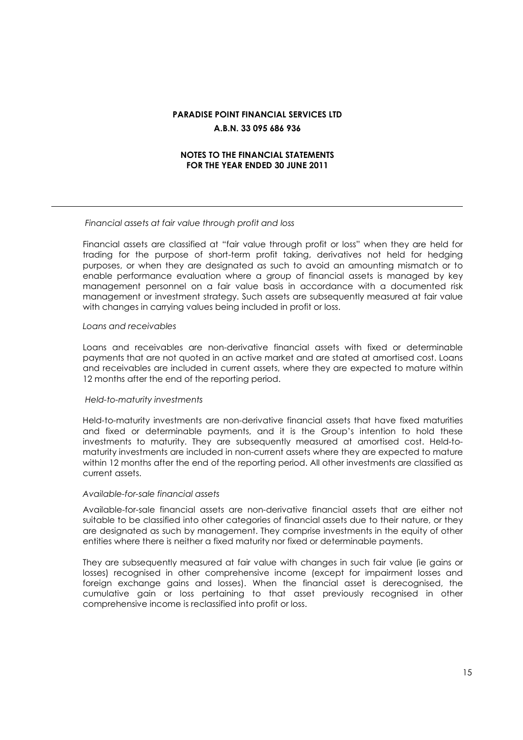## **NOTES TO THE FINANCIAL STATEMENTS FOR THE YEAR ENDED 30 JUNE 2011**

 *Financial assets at fair value through profit and loss* 

Financial assets are classified at "fair value through profit or loss" when they are held for trading for the purpose of short-term profit taking, derivatives not held for hedging purposes, or when they are designated as such to avoid an amounting mismatch or to enable performance evaluation where a group of financial assets is managed by key management personnel on a fair value basis in accordance with a documented risk management or investment strategy. Such assets are subsequently measured at fair value with changes in carrying values being included in profit or loss.

#### *Loans and receivables*

Loans and receivables are non-derivative financial assets with fixed or determinable payments that are not quoted in an active market and are stated at amortised cost. Loans and receivables are included in current assets, where they are expected to mature within 12 months after the end of the reporting period.

#### *Held-to-maturity investments*

Held-to-maturity investments are non-derivative financial assets that have fixed maturities and fixed or determinable payments, and it is the Group's intention to hold these investments to maturity. They are subsequently measured at amortised cost. Held-tomaturity investments are included in non-current assets where they are expected to mature within 12 months after the end of the reporting period. All other investments are classified as current assets.

#### *Available-for-sale financial assets*

Available-for-sale financial assets are non-derivative financial assets that are either not suitable to be classified into other categories of financial assets due to their nature, or they are designated as such by management. They comprise investments in the equity of other entities where there is neither a fixed maturity nor fixed or determinable payments.

They are subsequently measured at fair value with changes in such fair value (ie gains or losses) recognised in other comprehensive income (except for impairment losses and foreign exchange gains and losses). When the financial asset is derecognised, the cumulative gain or loss pertaining to that asset previously recognised in other comprehensive income is reclassified into profit or loss.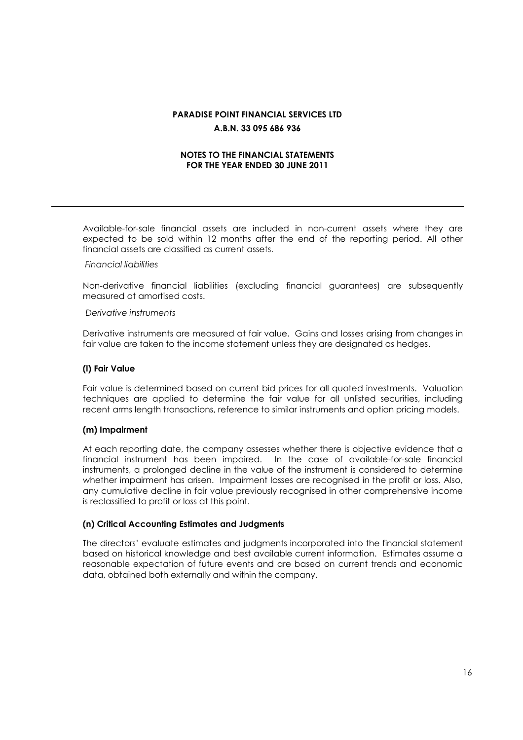## **NOTES TO THE FINANCIAL STATEMENTS FOR THE YEAR ENDED 30 JUNE 2011**

Available-for-sale financial assets are included in non-current assets where they are expected to be sold within 12 months after the end of the reporting period. All other financial assets are classified as current assets.

## *Financial liabilities*

Non-derivative financial liabilities (excluding financial guarantees) are subsequently measured at amortised costs.

#### *Derivative instruments*

Derivative instruments are measured at fair value. Gains and losses arising from changes in fair value are taken to the income statement unless they are designated as hedges.

#### **(l) Fair Value**

Fair value is determined based on current bid prices for all quoted investments. Valuation techniques are applied to determine the fair value for all unlisted securities, including recent arms length transactions, reference to similar instruments and option pricing models.

#### **(m) Impairment**

At each reporting date, the company assesses whether there is objective evidence that a financial instrument has been impaired. In the case of available-for-sale financial instruments, a prolonged decline in the value of the instrument is considered to determine whether impairment has arisen. Impairment losses are recognised in the profit or loss. Also, any cumulative decline in fair value previously recognised in other comprehensive income is reclassified to profit or loss at this point.

#### **(n) Critical Accounting Estimates and Judgments**

The directors' evaluate estimates and judgments incorporated into the financial statement based on historical knowledge and best available current information. Estimates assume a reasonable expectation of future events and are based on current trends and economic data, obtained both externally and within the company.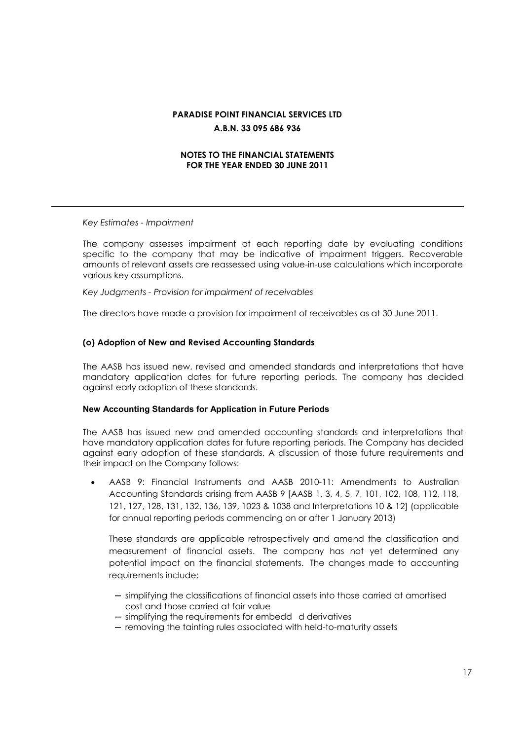## **NOTES TO THE FINANCIAL STATEMENTS FOR THE YEAR ENDED 30 JUNE 2011**

*Key Estimates - Impairment* 

The company assesses impairment at each reporting date by evaluating conditions specific to the company that may be indicative of impairment triggers. Recoverable amounts of relevant assets are reassessed using value-in-use calculations which incorporate various key assumptions.

*Key Judgments - Provision for impairment of receivables* 

The directors have made a provision for impairment of receivables as at 30 June 2011.

#### **(o) Adoption of New and Revised Accounting Standards**

The AASB has issued new, revised and amended standards and interpretations that have mandatory application dates for future reporting periods. The company has decided against early adoption of these standards.

#### **New Accounting Standards for Application in Future Periods**

The AASB has issued new and amended accounting standards and interpretations that have mandatory application dates for future reporting periods. The Company has decided against early adoption of these standards. A discussion of those future requirements and their impact on the Company follows:

• AASB 9: Financial Instruments and AASB 2010-11: Amendments to Australian Accounting Standards arising from AASB 9 [AASB 1, 3, 4, 5, 7, 101, 102, 108, 112, 118, 121, 127, 128, 131, 132, 136, 139, 1023 & 1038 and Interpretations 10 & 12] (applicable for annual reporting periods commencing on or after 1 January 2013)

These standards are applicable retrospectively and amend the classification and measurement of financial assets. The company has not yet determined any potential impact on the financial statements. The changes made to accounting requirements include:

- ─ simplifying the classifications of financial assets into those carried at amortised cost and those carried at fair value
- ─ simplifying the requirements for embedd d derivatives
- ─ removing the tainting rules associated with held-to-maturity assets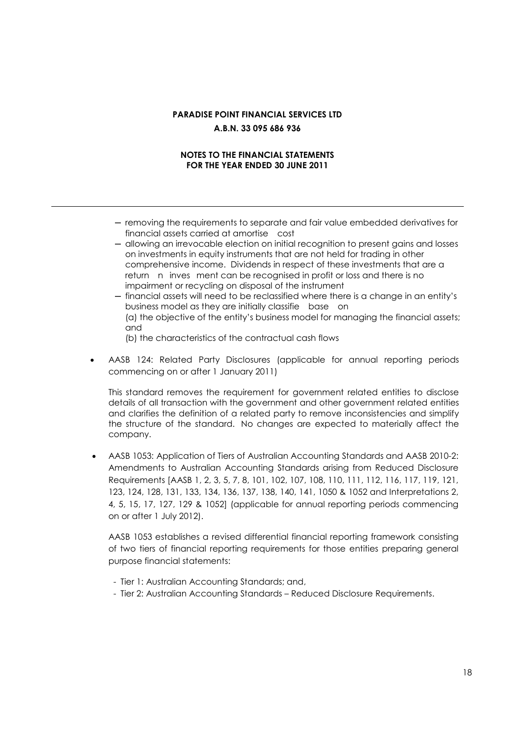### **NOTES TO THE FINANCIAL STATEMENTS FOR THE YEAR ENDED 30 JUNE 2011**

- ─ removing the requirements to separate and fair value embedded derivatives for financial assets carried at amortise cost
- ─ allowing an irrevocable election on initial recognition to present gains and losses on investments in equity instruments that are not held for trading in other comprehensive income. Dividends in respect of these investments that are a return n inves ment can be recognised in profit or loss and there is no impairment or recycling on disposal of the instrument
- ─ financial assets will need to be reclassified where there is a change in an entity's business model as they are initially classifie base on (a) the objective of the entity's business model for managing the financial assets; and
	- (b) the characteristics of the contractual cash flows
- AASB 124: Related Party Disclosures (applicable for annual reporting periods commencing on or after 1 January 2011)

This standard removes the requirement for government related entities to disclose details of all transaction with the government and other government related entities and clarifies the definition of a related party to remove inconsistencies and simplify the structure of the standard. No changes are expected to materially affect the company.

• AASB 1053: Application of Tiers of Australian Accounting Standards and AASB 2010-2: Amendments to Australian Accounting Standards arising from Reduced Disclosure Requirements [AASB 1, 2, 3, 5, 7, 8, 101, 102, 107, 108, 110, 111, 112, 116, 117, 119, 121, 123, 124, 128, 131, 133, 134, 136, 137, 138, 140, 141, 1050 & 1052 and Interpretations 2, 4, 5, 15, 17, 127, 129 & 1052] (applicable for annual reporting periods commencing on or after 1 July 2012).

AASB 1053 establishes a revised differential financial reporting framework consisting of two tiers of financial reporting requirements for those entities preparing general purpose financial statements:

- Tier 1: Australian Accounting Standards; and,
- Tier 2: Australian Accounting Standards Reduced Disclosure Requirements.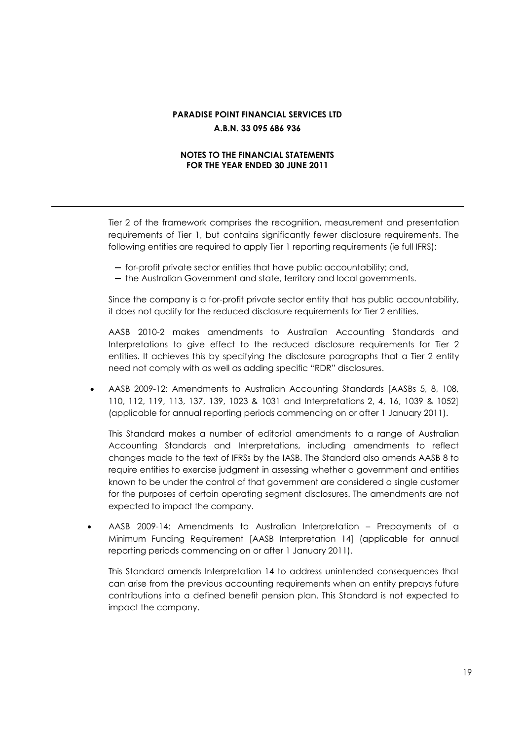## **NOTES TO THE FINANCIAL STATEMENTS FOR THE YEAR ENDED 30 JUNE 2011**

Tier 2 of the framework comprises the recognition, measurement and presentation requirements of Tier 1, but contains significantly fewer disclosure requirements. The following entities are required to apply Tier 1 reporting requirements (ie full IFRS):

─ for-profit private sector entities that have public accountability; and,

─ the Australian Government and state, territory and local governments.

Since the company is a for-profit private sector entity that has public accountability, it does not qualify for the reduced disclosure requirements for Tier 2 entities.

AASB 2010-2 makes amendments to Australian Accounting Standards and Interpretations to give effect to the reduced disclosure requirements for Tier 2 entities. It achieves this by specifying the disclosure paragraphs that a Tier 2 entity need not comply with as well as adding specific "RDR" disclosures.

• AASB 2009-12: Amendments to Australian Accounting Standards [AASBs 5, 8, 108, 110, 112, 119, 113, 137, 139, 1023 & 1031 and Interpretations 2, 4, 16, 1039 & 1052] (applicable for annual reporting periods commencing on or after 1 January 2011).

This Standard makes a number of editorial amendments to a range of Australian Accounting Standards and Interpretations, including amendments to reflect changes made to the text of IFRSs by the IASB. The Standard also amends AASB 8 to require entities to exercise judgment in assessing whether a government and entities known to be under the control of that government are considered a single customer for the purposes of certain operating segment disclosures. The amendments are not expected to impact the company.

• AASB 2009-14: Amendments to Australian Interpretation – Prepayments of a Minimum Funding Requirement [AASB Interpretation 14] (applicable for annual reporting periods commencing on or after 1 January 2011).

This Standard amends Interpretation 14 to address unintended consequences that can arise from the previous accounting requirements when an entity prepays future contributions into a defined benefit pension plan. This Standard is not expected to impact the company.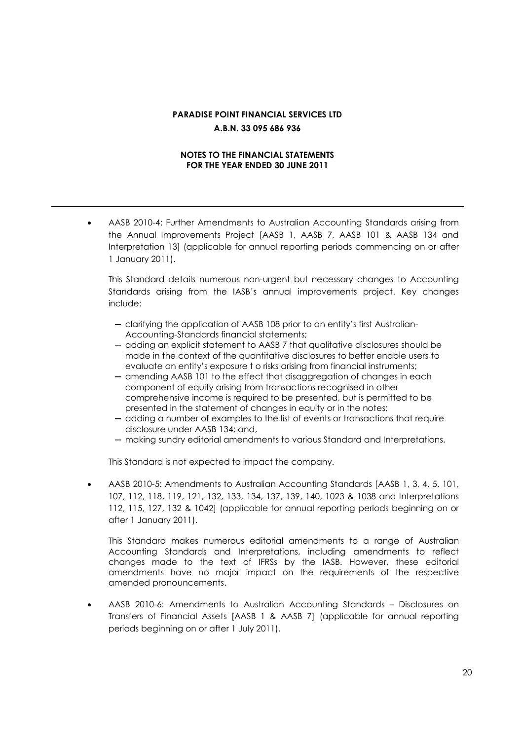## **NOTES TO THE FINANCIAL STATEMENTS FOR THE YEAR ENDED 30 JUNE 2011**

• AASB 2010-4: Further Amendments to Australian Accounting Standards arising from the Annual Improvements Project [AASB 1, AASB 7, AASB 101 & AASB 134 and Interpretation 13] (applicable for annual reporting periods commencing on or after 1 January 2011).

This Standard details numerous non-urgent but necessary changes to Accounting Standards arising from the IASB's annual improvements project. Key changes include:

- ─ clarifying the application of AASB 108 prior to an entity's first Australian-Accounting-Standards financial statements;
- ─ adding an explicit statement to AASB 7 that qualitative disclosures should be made in the context of the quantitative disclosures to better enable users to evaluate an entity's exposure t o risks arising from financial instruments;
- ─ amending AASB 101 to the effect that disaggregation of changes in each component of equity arising from transactions recognised in other comprehensive income is required to be presented, but is permitted to be presented in the statement of changes in equity or in the notes;
- ─ adding a number of examples to the list of events or transactions that require disclosure under AASB 134; and,
- ─ making sundry editorial amendments to various Standard and Interpretations.

This Standard is not expected to impact the company.

• AASB 2010-5: Amendments to Australian Accounting Standards [AASB 1, 3, 4, 5, 101, 107, 112, 118, 119, 121, 132, 133, 134, 137, 139, 140, 1023 & 1038 and Interpretations 112, 115, 127, 132 & 1042] (applicable for annual reporting periods beginning on or after 1 January 2011).

This Standard makes numerous editorial amendments to a range of Australian Accounting Standards and Interpretations, including amendments to reflect changes made to the text of IFRSs by the IASB. However, these editorial amendments have no major impact on the requirements of the respective amended pronouncements.

• AASB 2010-6: Amendments to Australian Accounting Standards – Disclosures on Transfers of Financial Assets [AASB 1 & AASB 7] (applicable for annual reporting periods beginning on or after 1 July 2011).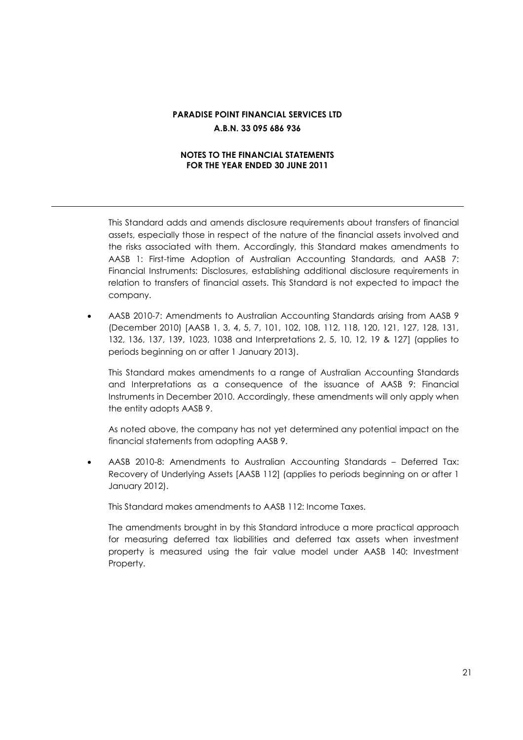## **NOTES TO THE FINANCIAL STATEMENTS FOR THE YEAR ENDED 30 JUNE 2011**

This Standard adds and amends disclosure requirements about transfers of financial assets, especially those in respect of the nature of the financial assets involved and the risks associated with them. Accordingly, this Standard makes amendments to AASB 1: First-time Adoption of Australian Accounting Standards, and AASB 7: Financial Instruments: Disclosures, establishing additional disclosure requirements in relation to transfers of financial assets. This Standard is not expected to impact the company.

• AASB 2010-7: Amendments to Australian Accounting Standards arising from AASB 9 (December 2010) [AASB 1, 3, 4, 5, 7, 101, 102, 108, 112, 118, 120, 121, 127, 128, 131, 132, 136, 137, 139, 1023, 1038 and Interpretations 2, 5, 10, 12, 19 & 127] (applies to periods beginning on or after 1 January 2013).

This Standard makes amendments to a range of Australian Accounting Standards and Interpretations as a consequence of the issuance of AASB 9: Financial Instruments in December 2010. Accordingly, these amendments will only apply when the entity adopts AASB 9.

As noted above, the company has not yet determined any potential impact on the financial statements from adopting AASB 9.

• AASB 2010-8: Amendments to Australian Accounting Standards – Deferred Tax: Recovery of Underlying Assets [AASB 112] (applies to periods beginning on or after 1 January 2012).

This Standard makes amendments to AASB 112: Income Taxes.

The amendments brought in by this Standard introduce a more practical approach for measuring deferred tax liabilities and deferred tax assets when investment property is measured using the fair value model under AASB 140: Investment Property.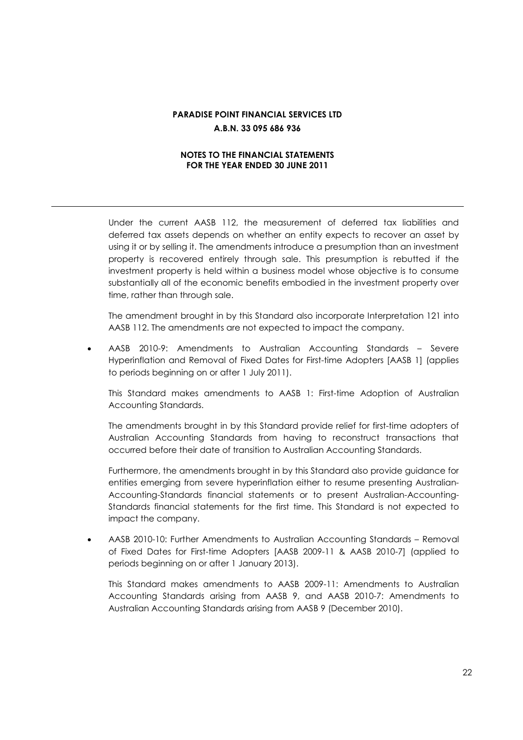## **NOTES TO THE FINANCIAL STATEMENTS FOR THE YEAR ENDED 30 JUNE 2011**

Under the current AASB 112, the measurement of deferred tax liabilities and deferred tax assets depends on whether an entity expects to recover an asset by using it or by selling it. The amendments introduce a presumption than an investment property is recovered entirely through sale. This presumption is rebutted if the investment property is held within a business model whose objective is to consume substantially all of the economic benefits embodied in the investment property over time, rather than through sale.

The amendment brought in by this Standard also incorporate Interpretation 121 into AASB 112. The amendments are not expected to impact the company.

• AASB 2010-9: Amendments to Australian Accounting Standards – Severe Hyperinflation and Removal of Fixed Dates for First-time Adopters [AASB 1] (applies to periods beginning on or after 1 July 2011).

This Standard makes amendments to AASB 1: First-time Adoption of Australian Accounting Standards.

The amendments brought in by this Standard provide relief for first-time adopters of Australian Accounting Standards from having to reconstruct transactions that occurred before their date of transition to Australian Accounting Standards.

Furthermore, the amendments brought in by this Standard also provide guidance for entities emerging from severe hyperinflation either to resume presenting Australian-Accounting-Standards financial statements or to present Australian-Accounting-Standards financial statements for the first time. This Standard is not expected to impact the company.

• AASB 2010-10: Further Amendments to Australian Accounting Standards – Removal of Fixed Dates for First-time Adopters [AASB 2009-11 & AASB 2010-7] (applied to periods beginning on or after 1 January 2013).

This Standard makes amendments to AASB 2009-11: Amendments to Australian Accounting Standards arising from AASB 9, and AASB 2010-7: Amendments to Australian Accounting Standards arising from AASB 9 (December 2010).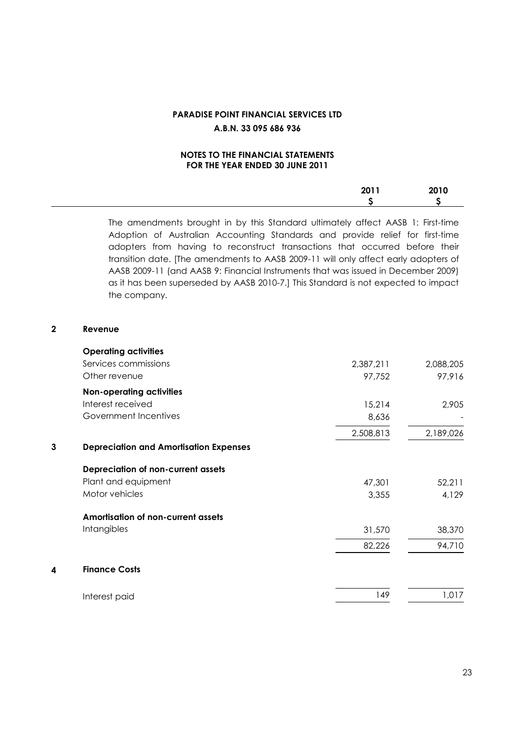## **NOTES TO THE FINANCIAL STATEMENTS FOR THE YEAR ENDED 30 JUNE 2011**

| ----<br>ZV | - v - |
|------------|-------|
|            |       |
|            |       |

The amendments brought in by this Standard ultimately affect AASB 1: First-time Adoption of Australian Accounting Standards and provide relief for first-time adopters from having to reconstruct transactions that occurred before their transition date. [The amendments to AASB 2009-11 will only affect early adopters of AASB 2009-11 (and AASB 9: Financial Instruments that was issued in December 2009) as it has been superseded by AASB 2010-7.] This Standard is not expected to impact the company.

#### **2 Revenue**

|   | <b>Operating activities</b>                   |           |           |
|---|-----------------------------------------------|-----------|-----------|
|   | Services commissions                          | 2,387,211 | 2,088,205 |
|   | Other revenue                                 | 97,752    | 97,916    |
|   | <b>Non-operating activities</b>               |           |           |
|   | Interest received                             | 15,214    | 2,905     |
|   | Government Incentives                         | 8,636     |           |
|   |                                               | 2,508,813 | 2,189,026 |
| 3 | <b>Depreciation and Amortisation Expenses</b> |           |           |
|   | Depreciation of non-current assets            |           |           |
|   | Plant and equipment                           | 47,301    | 52,211    |
|   | Motor vehicles                                | 3,355     | 4,129     |
|   | <b>Amortisation of non-current assets</b>     |           |           |
|   | <b>Intangibles</b>                            | 31,570    | 38,370    |
|   |                                               | 82,226    | 94,710    |
| 4 | <b>Finance Costs</b>                          |           |           |
|   | Interest paid                                 | 149       | 1,017     |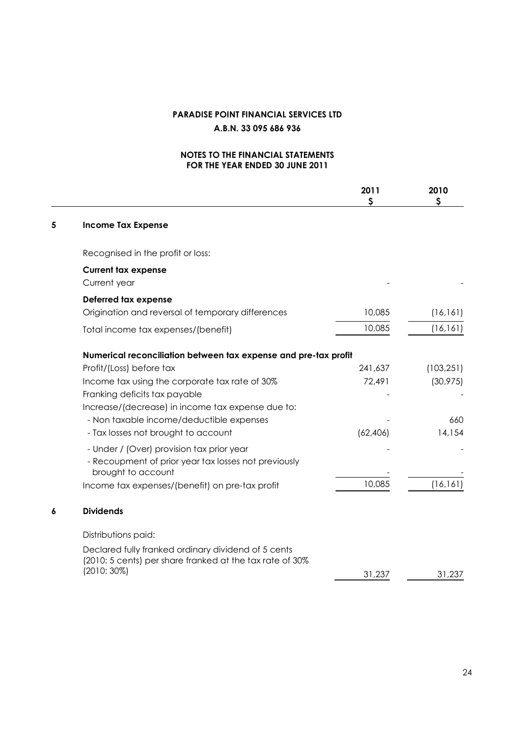## **NOTES TO THE FINANCIAL STATEMENTS FOR THE YEAR ENDED 30 JUNE 2011**

|   |                                                                                                                                  | 2011<br>\$ | 2010<br>\$ |
|---|----------------------------------------------------------------------------------------------------------------------------------|------------|------------|
| 5 | <b>Income Tax Expense</b>                                                                                                        |            |            |
|   | Recognised in the profit or loss:                                                                                                |            |            |
|   | <b>Current tax expense</b><br>Current year                                                                                       |            |            |
|   | Deferred tax expense                                                                                                             |            |            |
|   | Origination and reversal of temporary differences                                                                                | 10,085     | (16, 161)  |
|   | Total income tax expenses/(benefit)                                                                                              | 10,085     | (16, 161)  |
|   | Numerical reconciliation between tax expense and pre-tax profit                                                                  |            |            |
|   | Profit/(Loss) before tax                                                                                                         | 241,637    | (103, 251) |
|   | Income tax using the corporate tax rate of 30%<br>Franking deficits tax payable                                                  | 72,491     | (30, 975)  |
|   | Increase/(decrease) in income tax expense due to:<br>- Non taxable income/deductible expenses                                    |            | 660        |
|   | - Tax losses not brought to account                                                                                              | (62, 406)  | 14,154     |
|   | - Under / (Over) provision tax prior year<br>- Recoupment of prior year tax losses not previously<br>brought to account          |            |            |
|   | Income tax expenses/(benefit) on pre-tax profit                                                                                  | 10,085     | (16, 161)  |
| 6 | <b>Dividends</b>                                                                                                                 |            |            |
|   | Distributions paid:                                                                                                              |            |            |
|   | Declared fully franked ordinary dividend of 5 cents<br>(2010: 5 cents) per share franked at the tax rate of 30%<br>$(2010:30\%)$ |            | 31,237     |
|   |                                                                                                                                  | 31,237     |            |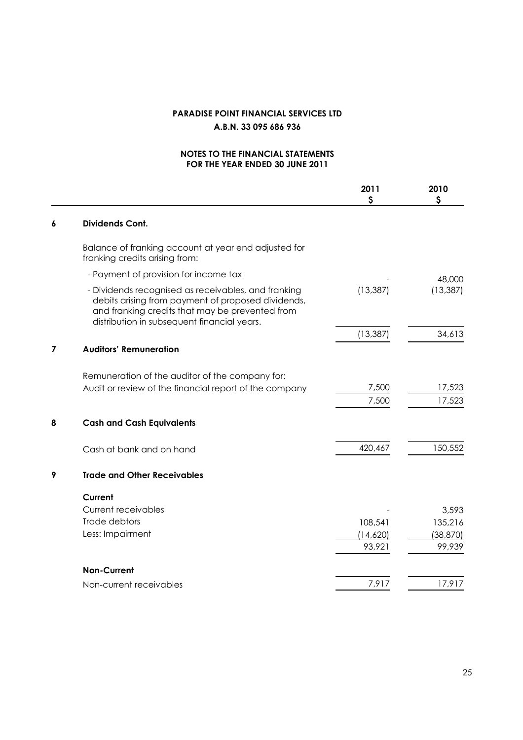## **NOTES TO THE FINANCIAL STATEMENTS FOR THE YEAR ENDED 30 JUNE 2011**

|                |                                                                                                                                                                                                             | 2011<br>\$ | 2010<br>S |
|----------------|-------------------------------------------------------------------------------------------------------------------------------------------------------------------------------------------------------------|------------|-----------|
| 6              | <b>Dividends Cont.</b>                                                                                                                                                                                      |            |           |
|                | Balance of franking account at year end adjusted for<br>franking credits arising from:                                                                                                                      |            |           |
|                | - Payment of provision for income tax                                                                                                                                                                       |            | 48,000    |
|                | - Dividends recognised as receivables, and franking<br>debits arising from payment of proposed dividends,<br>and franking credits that may be prevented from<br>distribution in subsequent financial years. | (13, 387)  | (13, 387) |
|                |                                                                                                                                                                                                             | (13, 387)  | 34,613    |
| $\overline{7}$ | <b>Auditors' Remuneration</b>                                                                                                                                                                               |            |           |
|                | Remuneration of the auditor of the company for:                                                                                                                                                             |            |           |
|                | Audit or review of the financial report of the company                                                                                                                                                      | 7,500      | 17,523    |
|                |                                                                                                                                                                                                             | 7,500      | 17,523    |
| 8              | <b>Cash and Cash Equivalents</b>                                                                                                                                                                            |            |           |
|                | Cash at bank and on hand                                                                                                                                                                                    | 420,467    | 150,552   |
| 9              | <b>Trade and Other Receivables</b>                                                                                                                                                                          |            |           |
|                | Current                                                                                                                                                                                                     |            |           |
|                | <b>Current receivables</b>                                                                                                                                                                                  |            | 3,593     |
|                | Trade debtors                                                                                                                                                                                               | 108,541    | 135,216   |
|                | Less: Impairment                                                                                                                                                                                            | (14,620)   | (38, 870) |
|                |                                                                                                                                                                                                             | 93,921     | 99,939    |
|                | <b>Non-Current</b>                                                                                                                                                                                          |            |           |
|                | Non-current receivables                                                                                                                                                                                     | 7,917      | 17,917    |
|                |                                                                                                                                                                                                             |            |           |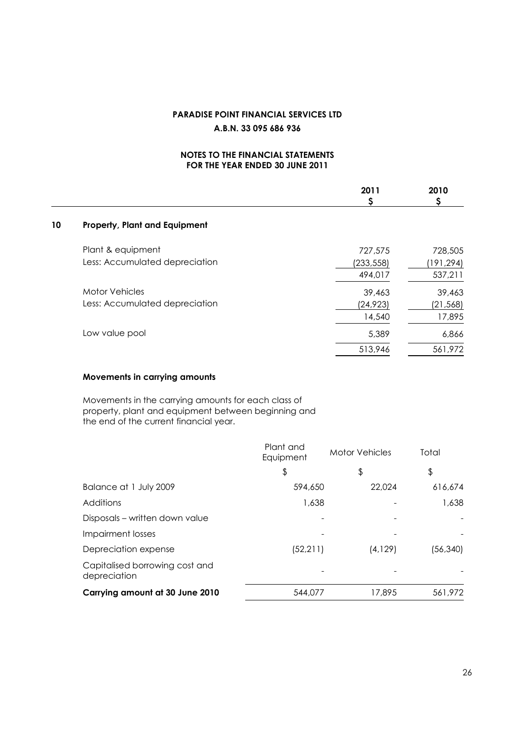## **NOTES TO THE FINANCIAL STATEMENTS FOR THE YEAR ENDED 30 JUNE 2011**

|    |                                      | 2011       | 2010       |
|----|--------------------------------------|------------|------------|
| 10 | <b>Property, Plant and Equipment</b> |            |            |
|    | Plant & equipment                    | 727,575    | 728,505    |
|    | Less: Accumulated depreciation       | (233, 558) | (191, 294) |
|    |                                      | 494,017    | 537,211    |
|    | <b>Motor Vehicles</b>                | 39,463     | 39,463     |
|    | Less: Accumulated depreciation       | (24, 923)  | (21, 568)  |
|    |                                      | 14,540     | 17,895     |
|    | Low value pool                       | 5,389      | 6,866      |
|    |                                      | 513,946    | 561,972    |

# **Movements in carrying amounts**

Movements in the carrying amounts for each class of property, plant and equipment between beginning and the end of the current financial year.

|                                                | Plant and<br>Equipment | <b>Motor Vehicles</b> | Total     |
|------------------------------------------------|------------------------|-----------------------|-----------|
|                                                | \$                     | \$                    | \$        |
| Balance at 1 July 2009                         | 594,650                | 22,024                | 616,674   |
| Additions                                      | 1,638                  |                       | 1,638     |
| Disposals - written down value                 |                        |                       |           |
| Impairment losses                              |                        |                       |           |
| Depreciation expense                           | (52,211)               | (4,129)               | (56, 340) |
| Capitalised borrowing cost and<br>depreciation |                        |                       |           |
| Carrying amount at 30 June 2010                | 544,077                | 17,895                | 561,972   |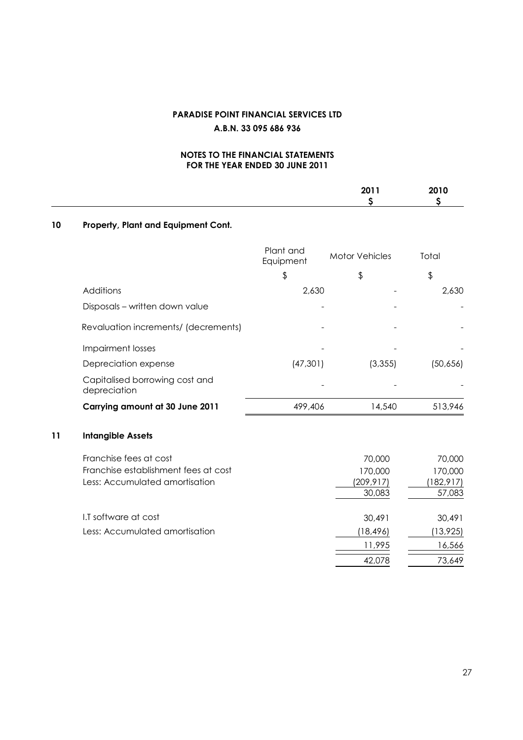## **NOTES TO THE FINANCIAL STATEMENTS FOR THE YEAR ENDED 30 JUNE 2011**

|    |                                                |                        | 2011<br>$\mathsf{S}$  | 2010<br>$\mathsf{S}$ |
|----|------------------------------------------------|------------------------|-----------------------|----------------------|
| 10 | Property, Plant and Equipment Cont.            |                        |                       |                      |
|    |                                                | Plant and<br>Equipment | <b>Motor Vehicles</b> | Total                |
|    |                                                | \$                     | \$                    | $\frac{1}{2}$        |
|    | Additions                                      | 2,630                  |                       | 2,630                |
|    | Disposals - written down value                 |                        |                       |                      |
|    | Revaluation increments/ (decrements)           |                        |                       |                      |
|    | <b>Impairment losses</b>                       |                        |                       |                      |
|    | Depreciation expense                           | (47, 301)              | (3,355)               | (50,656)             |
|    | Capitalised borrowing cost and<br>depreciation |                        |                       |                      |
|    | Carrying amount at 30 June 2011                | 499,406                | 14,540                | 513,946              |
| 11 | <b>Intangible Assets</b>                       |                        |                       |                      |
|    | Franchise fees at cost                         |                        | 70,000                | 70,000               |
|    | Franchise establishment fees at cost           |                        | 170,000               | 170,000              |
|    | Less: Accumulated amortisation                 |                        | (209, 917)            | (182, 917)           |
|    |                                                |                        | 30,083                | 57,083               |
|    | I.T software at cost                           |                        | 30,491                | 30,491               |
|    | Less: Accumulated amortisation                 |                        | (18, 496)             | (13, 925)            |
|    |                                                |                        | 11,995                | 16,566               |
|    |                                                |                        | 42,078                | 73,649               |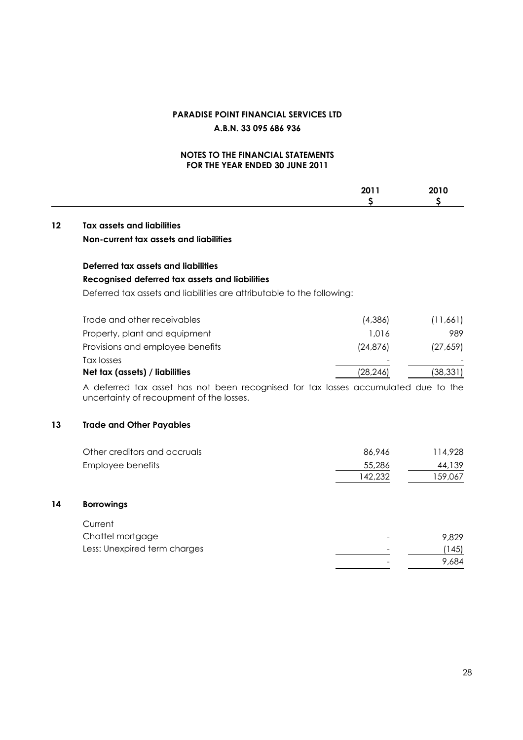## **NOTES TO THE FINANCIAL STATEMENTS FOR THE YEAR ENDED 30 JUNE 2011**

|                   |                                                                                                                                | 2011<br>\$ | 2010<br>S |
|-------------------|--------------------------------------------------------------------------------------------------------------------------------|------------|-----------|
| $12 \overline{ }$ | <b>Tax assets and liabilities</b>                                                                                              |            |           |
|                   | Non-current tax assets and liabilities                                                                                         |            |           |
|                   | Deferred tax assets and liabilities                                                                                            |            |           |
|                   | Recognised deferred tax assets and liabilities                                                                                 |            |           |
|                   | Deferred tax assets and liabilities are attributable to the following:                                                         |            |           |
|                   | Trade and other receivables                                                                                                    | (4,386)    | (11,661)  |
|                   | Property, plant and equipment                                                                                                  | 1.016      | 989       |
|                   | Provisions and employee benefits                                                                                               | (24, 876)  | (27, 659) |
|                   | <b>Tax losses</b>                                                                                                              |            |           |
|                   | Net tax (assets) / liabilities                                                                                                 | (28, 246)  | (38, 331) |
|                   | A deferred tax asset has not been recognised for tax losses accumulated due to the<br>uncertainty of recoupment of the losses. |            |           |
| 13                | <b>Trade and Other Payables</b>                                                                                                |            |           |
|                   | Other creditors and accruals                                                                                                   | 86,946     | 114,928   |
|                   | <b>Employee benefits</b>                                                                                                       | 55,286     | 44,139    |
|                   |                                                                                                                                | 142,232    | 159,067   |
| 14                | <b>Borrowings</b>                                                                                                              |            |           |
|                   | Current                                                                                                                        |            |           |
|                   | Chattel mortgage                                                                                                               |            | 9,829     |
|                   | Less: Unexpired term charges                                                                                                   |            | (145)     |
|                   |                                                                                                                                |            | 9,684     |
|                   |                                                                                                                                |            |           |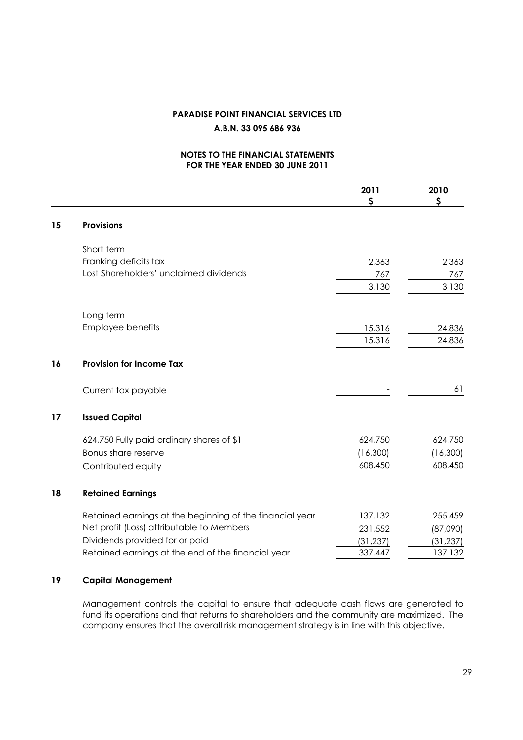## **NOTES TO THE FINANCIAL STATEMENTS FOR THE YEAR ENDED 30 JUNE 2011**

|    |                                                          | 2011<br>$\boldsymbol{\mathsf{S}}$ | 2010<br>$\mathsf{s}$ |
|----|----------------------------------------------------------|-----------------------------------|----------------------|
| 15 | <b>Provisions</b>                                        |                                   |                      |
|    |                                                          |                                   |                      |
|    | Short term                                               |                                   |                      |
|    | Franking deficits tax                                    | 2,363                             | 2,363                |
|    | Lost Shareholders' unclaimed dividends                   | 767                               | 767                  |
|    |                                                          | 3,130                             | 3,130                |
|    | Long term                                                |                                   |                      |
|    | Employee benefits                                        | 15,316                            | 24,836               |
|    |                                                          | 15,316                            | 24,836               |
| 16 | <b>Provision for Income Tax</b>                          |                                   |                      |
|    | Current tax payable                                      |                                   | 61                   |
| 17 | <b>Issued Capital</b>                                    |                                   |                      |
|    | 624,750 Fully paid ordinary shares of \$1                | 624,750                           | 624,750              |
|    | Bonus share reserve                                      | (16,300)                          | (16,300)             |
|    | Contributed equity                                       | 608,450                           | 608,450              |
| 18 | <b>Retained Earnings</b>                                 |                                   |                      |
|    | Retained earnings at the beginning of the financial year | 137,132                           | 255,459              |
|    | Net profit (Loss) attributable to Members                | 231,552                           | (87,090)             |
|    | Dividends provided for or paid                           | (31, 237)                         | (31, 237)            |
|    | Retained earnings at the end of the financial year       | 337,447                           | 137,132              |

## **19 Capital Management**

Management controls the capital to ensure that adequate cash flows are generated to fund its operations and that returns to shareholders and the community are maximized. The company ensures that the overall risk management strategy is in line with this objective.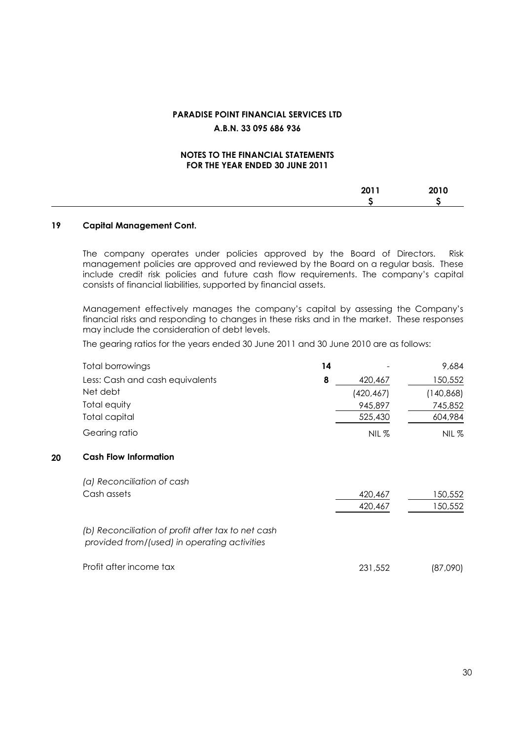## **NOTES TO THE FINANCIAL STATEMENTS FOR THE YEAR ENDED 30 JUNE 2011**

|  | ___ |
|--|-----|
|  |     |
|  |     |

## **19 Capital Management Cont.**

The company operates under policies approved by the Board of Directors. Risk management policies are approved and reviewed by the Board on a regular basis. These include credit risk policies and future cash flow requirements. The company's capital consists of financial liabilities, supported by financial assets.

Management effectively manages the company's capital by assessing the Company's financial risks and responding to changes in these risks and in the market. These responses may include the consideration of debt levels.

The gearing ratios for the years ended 30 June 2011 and 30 June 2010 are as follows:

|    | Total borrowings                                                                                   | 14 |           | 9,684      |
|----|----------------------------------------------------------------------------------------------------|----|-----------|------------|
|    | Less: Cash and cash equivalents                                                                    | 8  | 420,467   | 150,552    |
|    | Net debt                                                                                           |    | (420,467) | (140, 868) |
|    | Total equity                                                                                       |    | 945,897   | 745,852    |
|    | Total capital                                                                                      |    | 525,430   | 604,984    |
|    | Gearing ratio                                                                                      |    | $NIL$ %   | NIL %      |
| 20 | <b>Cash Flow Information</b>                                                                       |    |           |            |
|    | (a) Reconciliation of cash                                                                         |    |           |            |
|    | Cash assets                                                                                        |    | 420,467   | 150,552    |
|    |                                                                                                    |    | 420,467   | 150,552    |
|    | (b) Reconciliation of profit after tax to net cash<br>provided from/(used) in operating activities |    |           |            |
|    | Profit after income tax                                                                            |    | 231,552   | (87,090)   |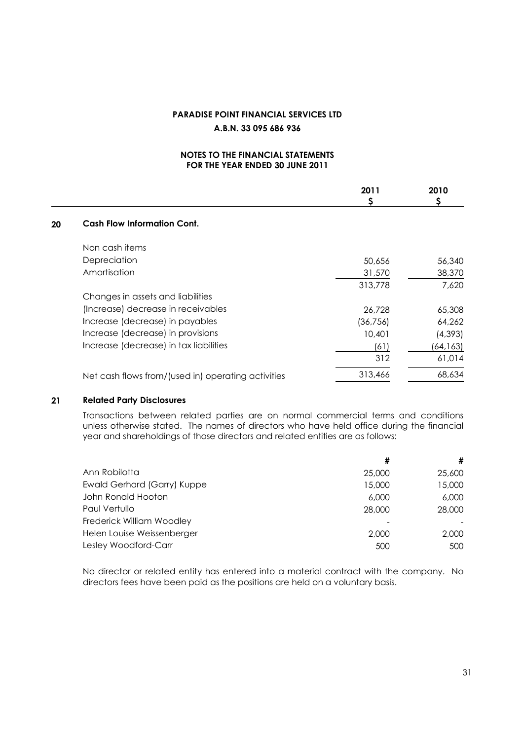## **NOTES TO THE FINANCIAL STATEMENTS FOR THE YEAR ENDED 30 JUNE 2011**

|    |                                                    | 2011<br>S | 2010<br>Ş |
|----|----------------------------------------------------|-----------|-----------|
| 20 | <b>Cash Flow Information Cont.</b>                 |           |           |
|    | Non cash items                                     |           |           |
|    | Depreciation                                       | 50,656    | 56,340    |
|    | Amortisation                                       | 31,570    | 38,370    |
|    |                                                    | 313,778   | 7,620     |
|    | Changes in assets and liabilities                  |           |           |
|    | (Increase) decrease in receivables                 | 26,728    | 65,308    |
|    | Increase (decrease) in payables                    | (36,756)  | 64,262    |
|    | Increase (decrease) in provisions                  | 10,401    | (4, 393)  |
|    | Increase (decrease) in tax liabilities             | (61)      | (64,163)  |
|    |                                                    | 312       | 61,014    |
|    | Net cash flows from/(used in) operating activities | 313,466   | 68,634    |

## **21 Related Party Disclosures**

Transactions between related parties are on normal commercial terms and conditions unless otherwise stated. The names of directors who have held office during the financial year and shareholdings of those directors and related entities are as follows:

|                             | #      | #      |
|-----------------------------|--------|--------|
| Ann Robilotta               | 25,000 | 25,600 |
| Ewald Gerhard (Garry) Kuppe | 15,000 | 15,000 |
| John Ronald Hooton          | 6,000  | 6,000  |
| Paul Vertullo               | 28,000 | 28,000 |
| Frederick William Woodley   |        |        |
| Helen Louise Weissenberger  | 2,000  | 2,000  |
| Lesley Woodford-Carr        | 500    | 500    |

No director or related entity has entered into a material contract with the company. No directors fees have been paid as the positions are held on a voluntary basis.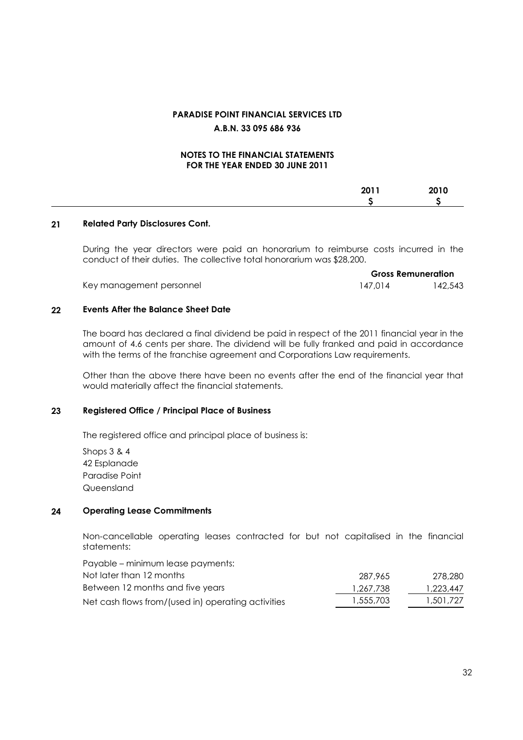## **NOTES TO THE FINANCIAL STATEMENTS FOR THE YEAR ENDED 30 JUNE 2011**

| --- | ____ |
|-----|------|
|     |      |
|     |      |

#### **21 Related Party Disclosures Cont.**

During the year directors were paid an honorarium to reimburse costs incurred in the conduct of their duties. The collective total honorarium was \$28,200.

|                          | <b>Gross Remuneration</b> |         |
|--------------------------|---------------------------|---------|
| Key management personnel | 147.014                   | 142,543 |

## **22 Events After the Balance Sheet Date**

The board has declared a final dividend be paid in respect of the 2011 financial year in the amount of 4.6 cents per share. The dividend will be fully franked and paid in accordance with the terms of the franchise agreement and Corporations Law requirements.

Other than the above there have been no events after the end of the financial year that would materially affect the financial statements.

## **23 Registered Office / Principal Place of Business**

The registered office and principal place of business is:

Shops 3 & 4 42 Esplanade Paradise Point Queensland

## **24 Operating Lease Commitments**

Non-cancellable operating leases contracted for but not capitalised in the financial statements:

| Payable – minimum lease payments:                  |           |           |
|----------------------------------------------------|-----------|-----------|
| Not later than 12 months                           | 287.965   | 278.280   |
| Between 12 months and five years                   | 1,267,738 | 1,223,447 |
| Net cash flows from/(used in) operating activities | 1,555,703 | 1.501.727 |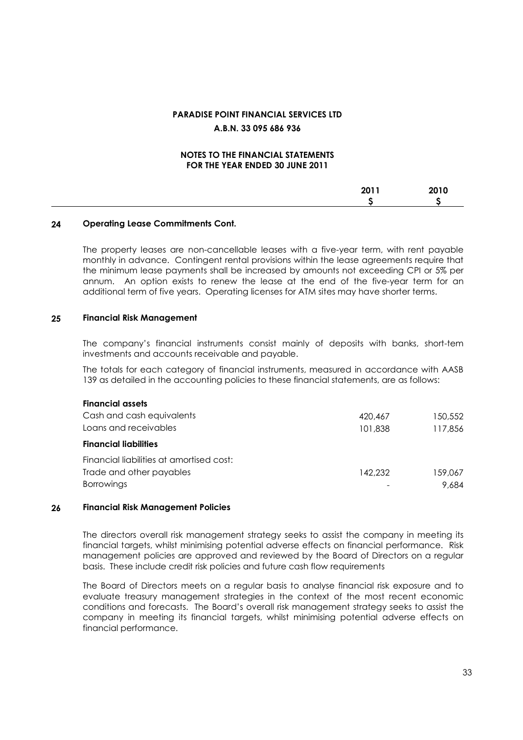## **NOTES TO THE FINANCIAL STATEMENTS FOR THE YEAR ENDED 30 JUNE 2011**

#### **24 Operating Lease Commitments Cont.**

The property leases are non-cancellable leases with a five-year term, with rent payable monthly in advance. Contingent rental provisions within the lease agreements require that the minimum lease payments shall be increased by amounts not exceeding CPI or 5% per annum. An option exists to renew the lease at the end of the five-year term for an additional term of five years. Operating licenses for ATM sites may have shorter terms.

#### **25 Financial Risk Management**

The company's financial instruments consist mainly of deposits with banks, short-tem investments and accounts receivable and payable.

The totals for each category of financial instruments, measured in accordance with AASB 139 as detailed in the accounting policies to these financial statements, are as follows:

| 420,467 | 150,552 |
|---------|---------|
| 101,838 | 117,856 |
|         |         |
|         |         |
| 142.232 | 159,067 |
|         | 9,684   |
|         |         |

#### **26 Financial Risk Management Policies**

The directors overall risk management strategy seeks to assist the company in meeting its financial targets, whilst minimising potential adverse effects on financial performance. Risk management policies are approved and reviewed by the Board of Directors on a regular basis. These include credit risk policies and future cash flow requirements

The Board of Directors meets on a regular basis to analyse financial risk exposure and to evaluate treasury management strategies in the context of the most recent economic conditions and forecasts. The Board's overall risk management strategy seeks to assist the company in meeting its financial targets, whilst minimising potential adverse effects on financial performance.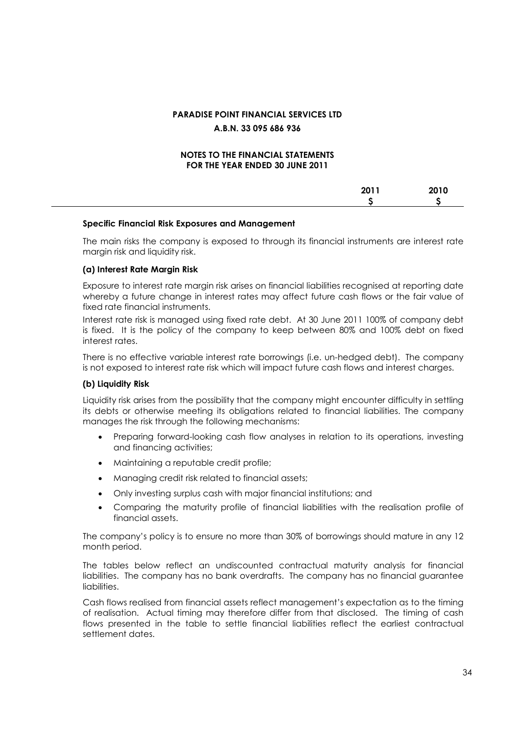## **NOTES TO THE FINANCIAL STATEMENTS FOR THE YEAR ENDED 30 JUNE 2011**

| 2011<br>ZV<br>. | ----<br>. . |
|-----------------|-------------|
|                 |             |
|                 |             |

#### **Specific Financial Risk Exposures and Management**

The main risks the company is exposed to through its financial instruments are interest rate margin risk and liquidity risk.

## **(a) Interest Rate Margin Risk**

Exposure to interest rate margin risk arises on financial liabilities recognised at reporting date whereby a future change in interest rates may affect future cash flows or the fair value of fixed rate financial instruments.

Interest rate risk is managed using fixed rate debt. At 30 June 2011 100% of company debt is fixed. It is the policy of the company to keep between 80% and 100% debt on fixed interest rates.

There is no effective variable interest rate borrowings (i.e. un-hedged debt). The company is not exposed to interest rate risk which will impact future cash flows and interest charges.

#### **(b) Liquidity Risk**

Liquidity risk arises from the possibility that the company might encounter difficulty in settling its debts or otherwise meeting its obligations related to financial liabilities. The company manages the risk through the following mechanisms:

- Preparing forward-looking cash flow analyses in relation to its operations, investing and financing activities;
- • Maintaining a reputable credit profile;
- Managing credit risk related to financial assets;
- Only investing surplus cash with major financial institutions; and
- Comparing the maturity profile of financial liabilities with the realisation profile of financial assets.

The company's policy is to ensure no more than 30% of borrowings should mature in any 12 month period.

The tables below reflect an undiscounted contractual maturity analysis for financial liabilities. The company has no bank overdrafts. The company has no financial guarantee liabilities.

Cash flows realised from financial assets reflect management's expectation as to the timing of realisation. Actual timing may therefore differ from that disclosed. The timing of cash flows presented in the table to settle financial liabilities reflect the earliest contractual settlement dates.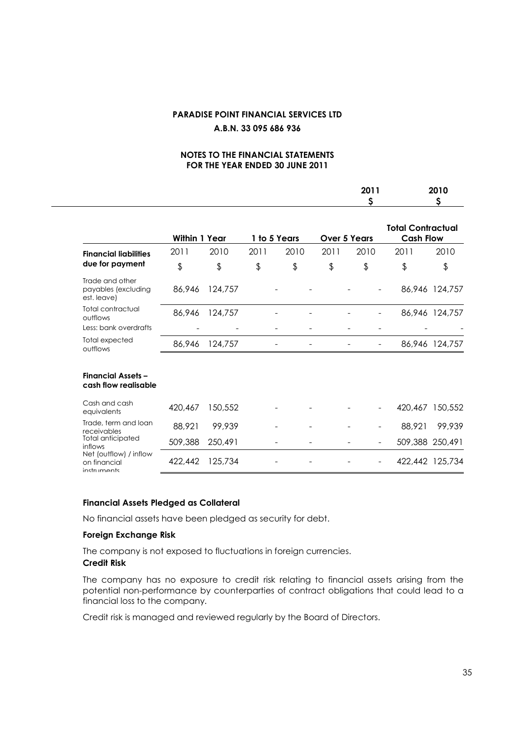## **NOTES TO THE FINANCIAL STATEMENTS FOR THE YEAR ENDED 30 JUNE 2011**

|                                                       |                      |         |              |      |                     | 2011<br>$\boldsymbol{\mathsf{S}}$ |                                              | 2010<br>\$      |  |
|-------------------------------------------------------|----------------------|---------|--------------|------|---------------------|-----------------------------------|----------------------------------------------|-----------------|--|
|                                                       | <b>Within 1 Year</b> |         | 1 to 5 Years |      | <b>Over 5 Years</b> |                                   | <b>Total Contractual</b><br><b>Cash Flow</b> |                 |  |
| <b>Financial liabilities</b>                          | 2011                 | 2010    | 2011         | 2010 | 2011                | 2010                              | 2011                                         | 2010            |  |
| due for payment                                       | \$                   | \$      | \$           | \$   | \$                  | \$                                | \$                                           | \$              |  |
| Trade and other<br>payables (excluding<br>est. leave) | 86,946               | 124,757 |              |      |                     |                                   |                                              | 86,946 124,757  |  |
| Total contractual<br>outflows                         | 86,946               | 124,757 |              |      |                     |                                   |                                              | 86,946 124,757  |  |
| Less: bank overdrafts                                 |                      |         |              |      |                     |                                   |                                              |                 |  |
| Total expected<br>outflows                            | 86,946               | 124,757 |              |      |                     |                                   |                                              | 86,946 124,757  |  |
| <b>Financial Assets -</b><br>cash flow realisable     |                      |         |              |      |                     |                                   |                                              |                 |  |
| Cash and cash<br>equivalents                          | 420,467              | 150,552 |              |      |                     |                                   |                                              | 420,467 150,552 |  |
| Trade, term and loan<br>receivables                   | 88,921               | 99,939  |              |      |                     |                                   | 88,921                                       | 99,939          |  |
| Total anticipated<br>inflows                          | 509,388              | 250,491 |              |      |                     | $\blacksquare$                    |                                              | 509,388 250,491 |  |
| Net (outflow) / inflow<br>on financial<br>instruments | 422,442              | 125,734 |              |      |                     |                                   |                                              | 422,442 125,734 |  |

#### **Financial Assets Pledged as Collateral**

No financial assets have been pledged as security for debt.

## **Foreign Exchange Risk**

The company is not exposed to fluctuations in foreign currencies.

## **Credit Risk**

The company has no exposure to credit risk relating to financial assets arising from the potential non-performance by counterparties of contract obligations that could lead to a financial loss to the company.

Credit risk is managed and reviewed regularly by the Board of Directors.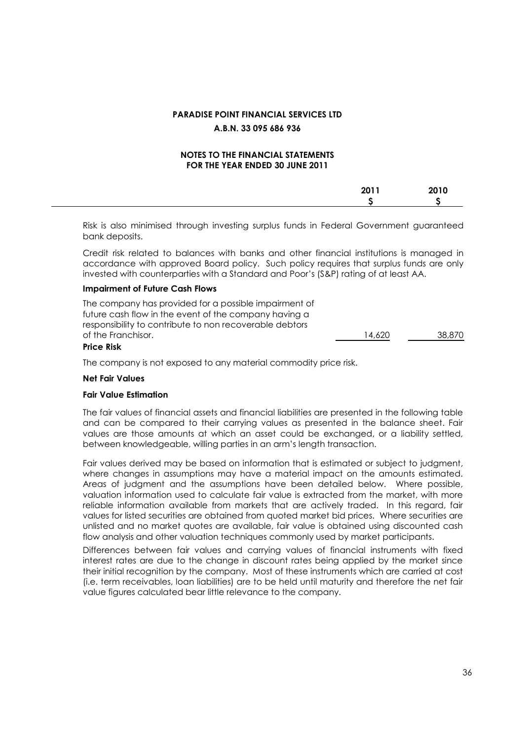## **NOTES TO THE FINANCIAL STATEMENTS FOR THE YEAR ENDED 30 JUNE 2011**

| 2011<br>ZUII | ----<br>ZV I V |
|--------------|----------------|
|              |                |
|              |                |

Risk is also minimised through investing surplus funds in Federal Government guaranteed bank deposits.

Credit risk related to balances with banks and other financial institutions is managed in accordance with approved Board policy. Such policy requires that surplus funds are only invested with counterparties with a Standard and Poor's (S&P) rating of at least AA.

#### **Impairment of Future Cash Flows**

| <b>Price Risk</b>                                       |        |        |
|---------------------------------------------------------|--------|--------|
| of the Franchisor.                                      | 14,620 | 38,870 |
| responsibility to contribute to non recoverable debtors |        |        |
| future cash flow in the event of the company having a   |        |        |
| The company has provided for a possible impairment of   |        |        |

The company is not exposed to any material commodity price risk.

#### **Net Fair Values**

#### **Fair Value Estimation**

The fair values of financial assets and financial liabilities are presented in the following table and can be compared to their carrying values as presented in the balance sheet. Fair values are those amounts at which an asset could be exchanged, or a liability settled, between knowledgeable, willing parties in an arm's length transaction.

Fair values derived may be based on information that is estimated or subject to judgment, where changes in assumptions may have a material impact on the amounts estimated. Areas of judgment and the assumptions have been detailed below. Where possible, valuation information used to calculate fair value is extracted from the market, with more reliable information available from markets that are actively traded. In this regard, fair values for listed securities are obtained from quoted market bid prices. Where securities are unlisted and no market quotes are available, fair value is obtained using discounted cash flow analysis and other valuation techniques commonly used by market participants.

Differences between fair values and carrying values of financial instruments with fixed interest rates are due to the change in discount rates being applied by the market since their initial recognition by the company. Most of these instruments which are carried at cost (i.e. term receivables, loan liabilities) are to be held until maturity and therefore the net fair value figures calculated bear little relevance to the company.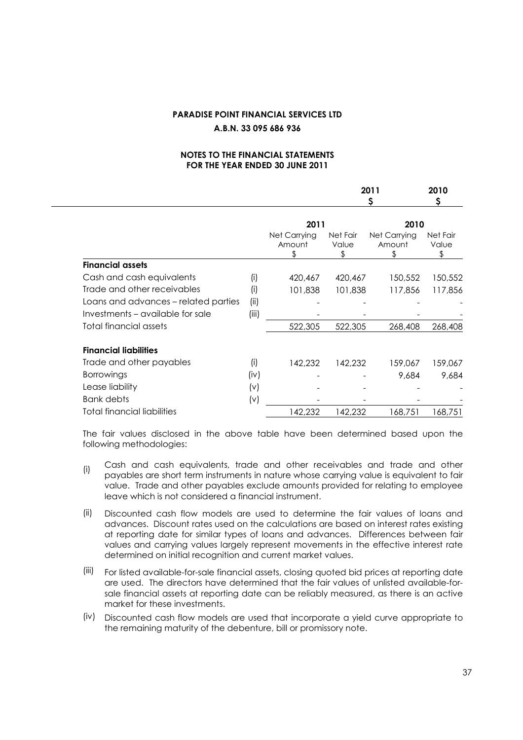## **NOTES TO THE FINANCIAL STATEMENTS FOR THE YEAR ENDED 30 JUNE 2011**

|                                      |          |                        | 2011                    |                        | 2010                    |  |
|--------------------------------------|----------|------------------------|-------------------------|------------------------|-------------------------|--|
|                                      |          |                        |                         | S                      | S                       |  |
|                                      |          | 2011                   |                         | 2010                   |                         |  |
|                                      |          | Net Carrying<br>Amount | Net Fair<br>Value<br>\$ | Net Carrying<br>Amount | Net Fair<br>Value<br>S. |  |
| <b>Financial assets</b>              |          |                        |                         |                        |                         |  |
| Cash and cash equivalents            | (i)      | 420,467                | 420,467                 | 150,552                | 150,552                 |  |
| Trade and other receivables          | (i)      | 101,838                | 101,838                 | 117,856                | 117,856                 |  |
| Loans and advances – related parties | (ii)     |                        |                         |                        |                         |  |
| Investments – available for sale     | (iii)    |                        |                         |                        |                         |  |
| Total financial assets               |          | 522,305                | 522,305                 | 268,408                | 268,408                 |  |
| <b>Financial liabilities</b>         |          |                        |                         |                        |                         |  |
| Trade and other payables             | (i)      | 142,232                | 142,232                 | 159,067                | 159,067                 |  |
| <b>Borrowings</b>                    | (iv)     |                        |                         | 9,684                  | 9,684                   |  |
| Lease liability                      | (v)      |                        |                         |                        |                         |  |
| <b>Bank debts</b>                    | $(\vee)$ |                        |                         |                        |                         |  |
| Total financial liabilities          |          | 142,232                | 142,232                 | 168,751                | 168,751                 |  |

The fair values disclosed in the above table have been determined based upon the following methodologies:

- (i) Cash and cash equivalents, trade and other receivables and trade and other payables are short term instruments in nature whose carrying value is equivalent to fair value. Trade and other payables exclude amounts provided for relating to employee leave which is not considered a financial instrument.
- (ii) Discounted cash flow models are used to determine the fair values of loans and advances. Discount rates used on the calculations are based on interest rates existing at reporting date for similar types of loans and advances. Differences between fair values and carrying values largely represent movements in the effective interest rate determined on initial recognition and current market values.
- (iii) For listed available-for-sale financial assets, closing quoted bid prices at reporting date are used. The directors have determined that the fair values of unlisted available-forsale financial assets at reporting date can be reliably measured, as there is an active market for these investments.
- (iv) Discounted cash flow models are used that incorporate a yield curve appropriate to the remaining maturity of the debenture, bill or promissory note.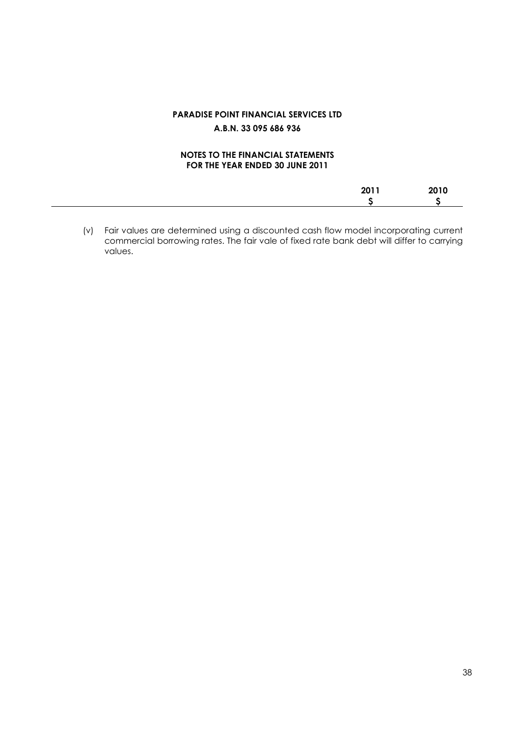## **NOTES TO THE FINANCIAL STATEMENTS FOR THE YEAR ENDED 30 JUNE 2011**

| <b>0011</b> |  |
|-------------|--|
|             |  |
|             |  |

 $\overline{\phantom{0}}$ 

(v) Fair values are determined using a discounted cash flow model incorporating current commercial borrowing rates. The fair vale of fixed rate bank debt will differ to carrying values.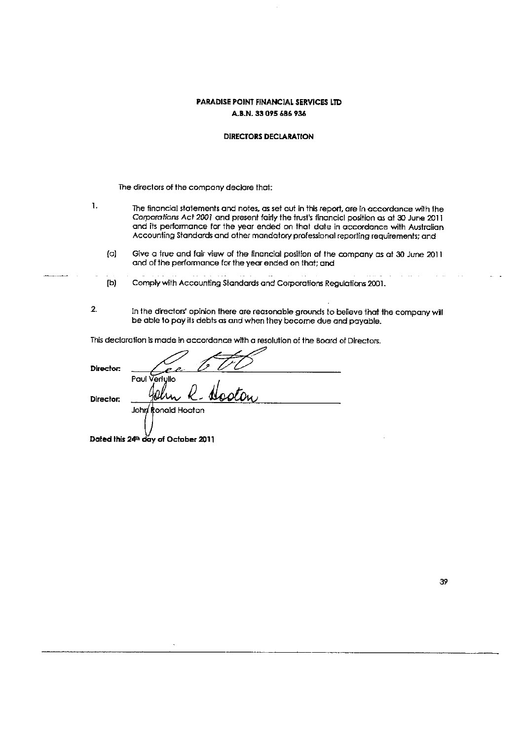#### **DIRECTORS DECLARATION**

The directors of the company declare that:

- $\mathbf{L}$ The financial statements and notes, as set out in this report, are in accordance with the Corporations Act 2001 and present fairly the trust's financial position as at 30 June 2011 and its performance for the year ended on that date in accordance with Australian Accounting Standards and other mandatory professional reporting requirements; and
	- $\lceil$ a] Give a true and fair view of the financial position of the company as at 30 June 2011 and of the performance for the year ended on that; and
	- Comply with Accounting Standards and Corporations Regulations 2001.  $[b]$
- $\overline{2}$ In the directors' opinion there are reasonable grounds to believe that the company will be able to pay its debts as and when they become due and payable.

This declaration is made in accordance with a resolution of the Board of Directors.

**Director:** Paul Vertullo Director: **k**onald Hooton .lohri

Dated this 24<sup>th</sup> day of October 2011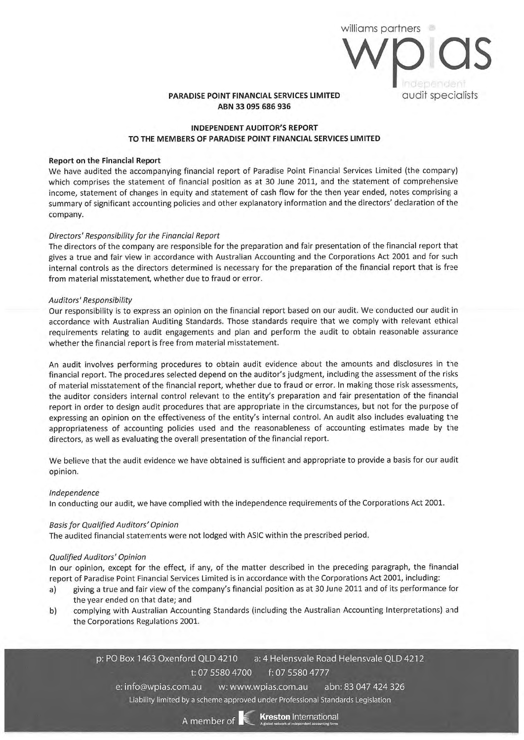

## **INDEPENDENT AUDITOR'S REPORT** TO THE MEMBERS OF PARADISE POINT FINANCIAL SERVICES LIMITED

#### **Report on the Financial Report**

We have audited the accompanying financial report of Paradise Point Financial Services Limited (the company) which comprises the statement of financial position as at 30 June 2011, and the statement of comprehensive income, statement of changes in equity and statement of cash flow for the then year ended, notes comprising a summary of significant accounting policies and other explanatory information and the directors' declaration of the company.

#### Directors' Responsibility for the Financial Report

The directors of the company are responsible for the preparation and fair presentation of the financial report that gives a true and fair view in accordance with Australian Accounting and the Corporations Act 2001 and for such internal controls as the directors determined is necessary for the preparation of the financial report that is free from material misstatement, whether due to fraud or error.

#### Auditors' Responsibility

Our responsibility is to express an opinion on the financial report based on our audit. We conducted our audit in accordance with Australian Auditing Standards. Those standards require that we comply with relevant ethical requirements relating to audit engagements and plan and perform the audit to obtain reasonable assurance whether the financial report is free from material misstatement.

An audit involves performing procedures to obtain audit evidence about the amounts and disclosures in the financial report. The procedures selected depend on the auditor's judgment, including the assessment of the risks of material misstatement of the financial report, whether due to fraud or error. In making those risk assessments, the auditor considers internal control relevant to the entity's preparation and fair presentation of the financial report in order to design audit procedures that are appropriate in the circumstances, but not for the purpose of expressing an opinion on the effectiveness of the entity's internal control. An audit also includes evaluating the appropriateness of accounting policies used and the reasonableness of accounting estimates made by the directors, as well as evaluating the overall presentation of the financial report.

We believe that the audit evidence we have obtained is sufficient and appropriate to provide a basis for our audit opinion.

#### Independence

In conducting our audit, we have complied with the independence requirements of the Corporations Act 2001.

#### **Basis for Qualified Auditors' Opinion**

The audited financial statements were not lodged with ASIC within the prescribed period.

A member of

#### Qualified Auditors' Opinion

In our opinion, except for the effect, if any, of the matter described in the preceding paragraph, the financial report of Paradise Point Financial Services Limited is in accordance with the Corporations Act 2001, including:

- giving a true and fair view of the company's financial position as at 30 June 2011 and of its performance for  $a)$ the year ended on that date; and
- complying with Australian Accounting Standards (including the Australian Accounting Interpretations) and  $b)$ the Corporations Regulations 2001.

p: PO Box 1463 Oxenford QLD 4210 a: 4 Helensvale Road Helensvale QLD 4212 f: 07 5580 4777 t: 07 5580 4700

e: info@wpias.com.au w: www.wpias.com.au abn: 83 047 424 326 Liability limited by a scheme approved under Professional Standards Legislation

**Kreston International**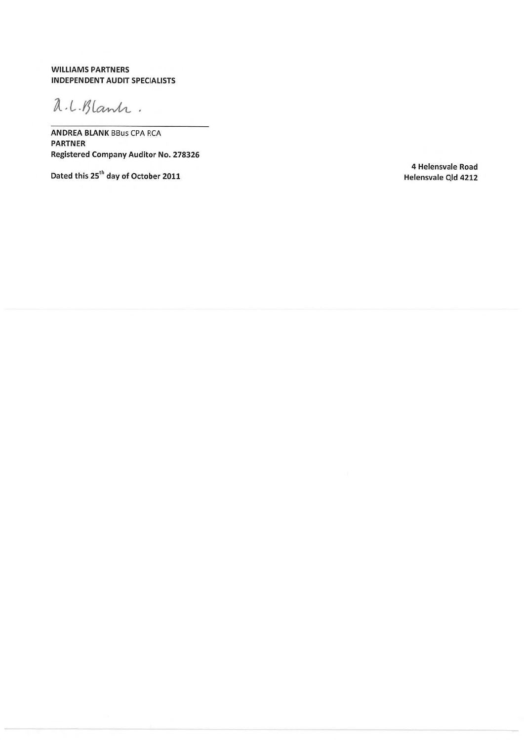## **WILLIAMS PARTNERS INDEPENDENT AUDIT SPECIALISTS**

a.L.Blank.

**ANDREA BLANK BBus CPA RCA PARTNER** Registered Company Auditor No. 278326

Dated this 25<sup>th</sup> day of October 2011

4 Helensvale Road Helensvale Qld 4212